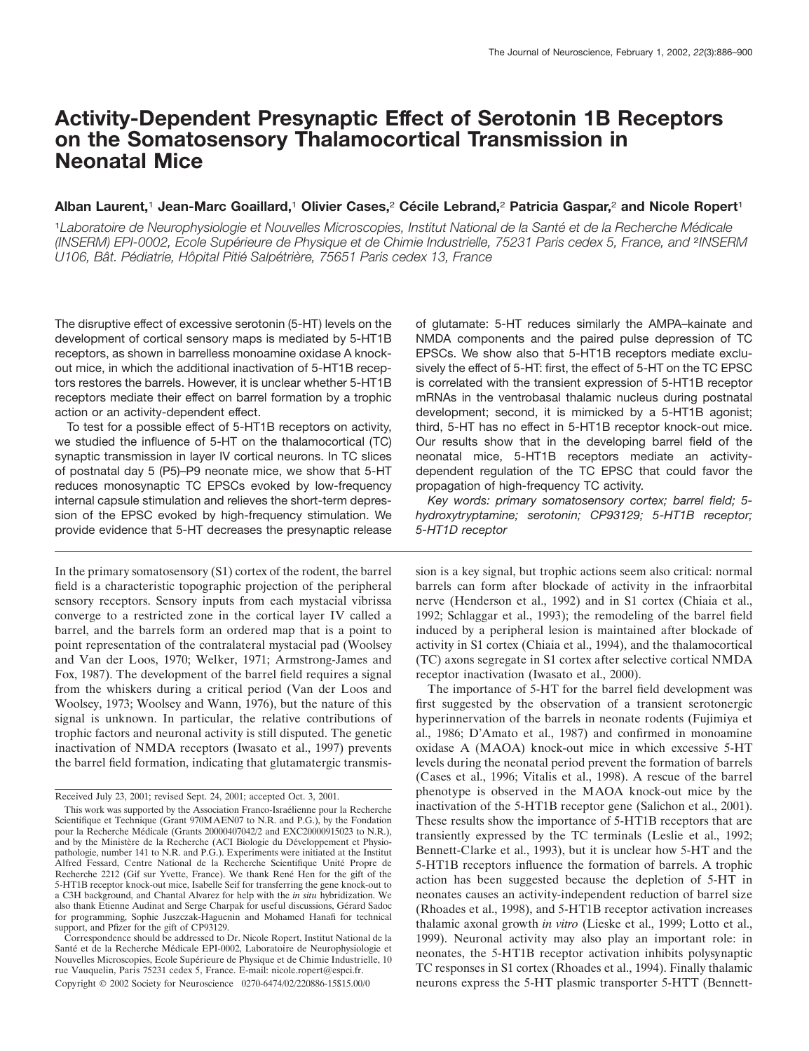# **Activity-Dependent Presynaptic Effect of Serotonin 1B Receptors on the Somatosensory Thalamocortical Transmission in Neonatal Mice**

# Alban Laurent,<sup>1</sup> Jean-Marc Goaillard,<sup>1</sup> Olivier Cases,<sup>2</sup> Cécile Lebrand,<sup>2</sup> Patricia Gaspar,<sup>2</sup> and Nicole Ropert<sup>1</sup>

<sup>1</sup>Laboratoire de Neurophysiologie et Nouvelles Microscopies, Institut National de la Santé et de la Recherche Médicale *(INSERM) EPI-0002, Ecole Supe´ rieure de Physique et de Chimie Industrielle, 75231 Paris cedex 5, France, and* <sup>2</sup>*INSERM U106, Bât. Pédiatrie, Hôpital Pitié Salpétrière, 75651 Paris cedex 13, France* 

The disruptive effect of excessive serotonin (5-HT) levels on the development of cortical sensory maps is mediated by 5-HT1B receptors, as shown in barrelless monoamine oxidase A knockout mice, in which the additional inactivation of 5-HT1B receptors restores the barrels. However, it is unclear whether 5-HT1B receptors mediate their effect on barrel formation by a trophic action or an activity-dependent effect.

To test for a possible effect of 5-HT1B receptors on activity, we studied the influence of 5-HT on the thalamocortical (TC) synaptic transmission in layer IV cortical neurons. In TC slices of postnatal day 5 (P5)–P9 neonate mice, we show that 5-HT reduces monosynaptic TC EPSCs evoked by low-frequency internal capsule stimulation and relieves the short-term depression of the EPSC evoked by high-frequency stimulation. We provide evidence that 5-HT decreases the presynaptic release

In the primary somatosensory (S1) cortex of the rodent, the barrel field is a characteristic topographic projection of the peripheral sensory receptors. Sensory inputs from each mystacial vibrissa converge to a restricted zone in the cortical layer IV called a barrel, and the barrels form an ordered map that is a point to point representation of the contralateral mystacial pad (Woolsey and Van der Loos, 1970; Welker, 1971; Armstrong-James and Fox, 1987). The development of the barrel field requires a signal from the whiskers during a critical period (Van der Loos and Woolsey, 1973; Woolsey and Wann, 1976), but the nature of this signal is unknown. In particular, the relative contributions of trophic factors and neuronal activity is still disputed. The genetic inactivation of NMDA receptors (Iwasato et al., 1997) prevents the barrel field formation, indicating that glutamatergic transmisof glutamate: 5-HT reduces similarly the AMPA–kainate and NMDA components and the paired pulse depression of TC EPSCs. We show also that 5-HT1B receptors mediate exclusively the effect of 5-HT: first, the effect of 5-HT on the TC EPSC is correlated with the transient expression of 5-HT1B receptor mRNAs in the ventrobasal thalamic nucleus during postnatal development; second, it is mimicked by a 5-HT1B agonist; third, 5-HT has no effect in 5-HT1B receptor knock-out mice. Our results show that in the developing barrel field of the neonatal mice, 5-HT1B receptors mediate an activitydependent regulation of the TC EPSC that could favor the propagation of high-frequency TC activity.

*Key words: primary somatosensory cortex; barrel field; 5 hydroxytryptamine; serotonin; CP93129; 5-HT1B receptor; 5-HT1D receptor*

sion is a key signal, but trophic actions seem also critical: normal barrels can form after blockade of activity in the infraorbital nerve (Henderson et al., 1992) and in S1 cortex (Chiaia et al., 1992; Schlaggar et al., 1993); the remodeling of the barrel field induced by a peripheral lesion is maintained after blockade of activity in S1 cortex (Chiaia et al., 1994), and the thalamocortical (TC) axons segregate in S1 cortex after selective cortical NMDA receptor inactivation (Iwasato et al., 2000).

The importance of 5-HT for the barrel field development was first suggested by the observation of a transient serotonergic hyperinnervation of the barrels in neonate rodents (Fujimiya et al., 1986; D'Amato et al., 1987) and confirmed in monoamine oxidase A (MAOA) knock-out mice in which excessive 5-HT levels during the neonatal period prevent the formation of barrels (Cases et al., 1996; Vitalis et al., 1998). A rescue of the barrel phenotype is observed in the MAOA knock-out mice by the inactivation of the 5-HT1B receptor gene (Salichon et al., 2001). These results show the importance of 5-HT1B receptors that are transiently expressed by the TC terminals (Leslie et al., 1992; Bennett-Clarke et al., 1993), but it is unclear how 5-HT and the 5-HT1B receptors influence the formation of barrels. A trophic action has been suggested because the depletion of 5-HT in neonates causes an activity-independent reduction of barrel size (Rhoades et al., 1998), and 5-HT1B receptor activation increases thalamic axonal growth *in vitro* (Lieske et al., 1999; Lotto et al., 1999). Neuronal activity may also play an important role: in neonates, the 5-HT1B receptor activation inhibits polysynaptic TC responses in S1 cortex (Rhoades et al., 1994). Finally thalamic neurons express the 5-HT plasmic transporter 5-HTT (Bennett-

Received July 23, 2001; revised Sept. 24, 2001; accepted Oct. 3, 2001.

This work was supported by the Association Franco-Israélienne pour la Recherche Scientifique et Technique (Grant 970MAEN07 to N.R. and P.G.), by the Fondation pour la Recherche Médicale (Grants 20000407042/2 and EXC20000915023 to N.R.), and by the Ministère de la Recherche (ACI Biologie du Développement et Physiopathologie, number 141 to N.R. and P.G.). Experiments were initiated at the Institut Alfred Fessard, Centre National de la Recherche Scientifique Unité Propre de Recherche 2212 (Gif sur Yvette, France). We thank René Hen for the gift of the 5-HT1B receptor knock-out mice, Isabelle Seif for transferring the gene knock-out to a C3H background, and Chantal Alvarez for help with the *in situ* hybridization. We also thank Etienne Audinat and Serge Charpak for useful discussions, Gérard Sadoc for programming, Sophie Juszczak-Haguenin and Mohamed Hanafi for technical support, and Pfizer for the gift of CP93129.

Correspondence should be addressed to Dr. Nicole Ropert, Institut National de la Santé et de la Recherche Médicale EPI-0002, Laboratoire de Neurophysiologie et Nouvelles Microscopies, Ecole Supérieure de Physique et de Chimie Industrielle, 10 rue Vauquelin, Paris 75231 cedex 5, France. E-mail: nicole.ropert@espci.fr. Copyright © 2002 Society for Neuroscience 0270-6474/02/220886-15\$15.00/0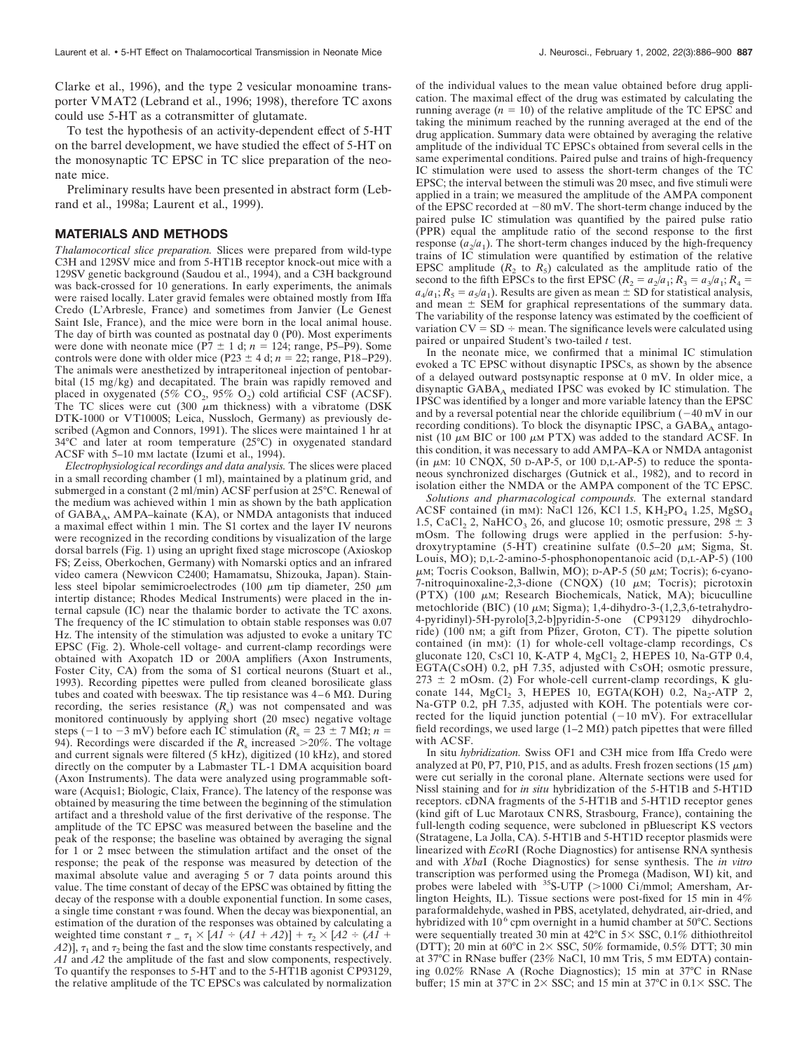Clarke et al., 1996), and the type 2 vesicular monoamine transporter VMAT2 (Lebrand et al., 1996; 1998), therefore TC axons could use 5-HT as a cotransmitter of glutamate.

To test the hypothesis of an activity-dependent effect of 5-HT on the barrel development, we have studied the effect of 5-HT on the monosynaptic TC EPSC in TC slice preparation of the neonate mice.

Preliminary results have been presented in abstract form (Lebrand et al., 1998a; Laurent et al., 1999).

#### **MATERIALS AND METHODS**

*Thalamocortical slice preparation.* Slices were prepared from wild-type C3H and 129SV mice and from 5-HT1B receptor knock-out mice with a 129SV genetic background (Saudou et al., 1994), and a C3H background was back-crossed for 10 generations. In early experiments, the animals were raised locally. Later gravid females were obtained mostly from Iffa Credo (L'Arbresle, France) and sometimes from Janvier (Le Genest Saint Isle, France), and the mice were born in the local animal house. The day of birth was counted as postnatal day 0 (P0). Most experiments were done with neonate mice  $(P7 \pm 1 \text{ d}; n = 124; \text{ range}, P5-P9)$ . Some controls were done with older mice  $(P23 \pm 4 \text{ d}; n = 22; \text{range}, P18 - P29)$ . The animals were anesthetized by intraperitoneal injection of pentobarbital (15 mg/kg) and decapitated. The brain was rapidly removed and placed in oxygenated (5%  $CO<sub>2</sub>$ , 95%  $O<sub>2</sub>$ ) cold artificial CSF (ACSF). The TC slices were cut (300  $\mu$ m thickness) with a vibratome (DSK DTK-1000 or VT1000S; Leica, Nussloch, Germany) as previously described (Agmon and Connors, 1991). The slices were maintained 1 hr at 34°C and later at room temperature (25°C) in oxygenated standard ACSF with 5–10 mM lactate (Izumi et al., 1994).

*Electrophysiological recordings and data analysis.* The slices were placed in a small recording chamber (1 ml), maintained by a platinum grid, and submerged in a constant (2 ml/min) ACSF perfusion at 25°C. Renewal of the medium was achieved within 1 min as shown by the bath application of GABA<sub>A</sub>, AMPA-kainate (KA), or NMDA antagonists that induced a maximal effect within 1 min. The S1 cortex and the layer IV neurons were recognized in the recording conditions by visualization of the large dorsal barrels (Fig. 1) using an upright fixed stage microscope (Axioskop FS; Zeiss, Oberkochen, Germany) with Nomarski optics and an infrared video camera (Newvicon C2400; Hamamatsu, Shizouka, Japan). Stainless steel bipolar semimicroelectrodes (100  $\mu$ m tip diameter, 250  $\mu$ m intertip distance; Rhodes Medical Instruments) were placed in the internal capsule (IC) near the thalamic border to activate the TC axons. The frequency of the IC stimulation to obtain stable responses was 0.07 Hz. The intensity of the stimulation was adjusted to evoke a unitary TC EPSC (Fig. 2). Whole-cell voltage- and current-clamp recordings were obtained with Axopatch 1D or 200A amplifiers (Axon Instruments, Foster City, CA) from the soma of S1 cortical neurons (Stuart et al., 1993). Recording pipettes were pulled from cleaned borosilicate glass tubes and coated with beeswax. The tip resistance was  $4-6$  M $\Omega$ . During recording, the series resistance  $(R_s)$  was not compensated and was monitored continuously by applying short (20 msec) negative voltage steps (-1 to -3 mV) before each IC stimulation ( $R_s = 23 \pm 7$  M $\Omega$ ;  $n =$ 94). Recordings were discarded if the  $R_s$  increased >20%. The voltage and current signals were filtered (5 kHz), digitized (10 kHz), and stored directly on the computer by a Labmaster TL-1 DMA acquisition board (Axon Instruments). The data were analyzed using programmable software (Acquis1; Biologic, Claix, France). The latency of the response was obtained by measuring the time between the beginning of the stimulation artifact and a threshold value of the first derivative of the response. The amplitude of the TC EPSC was measured between the baseline and the peak of the response; the baseline was obtained by averaging the signal for 1 or 2 msec between the stimulation artifact and the onset of the response; the peak of the response was measured by detection of the maximal absolute value and averaging 5 or 7 data points around this value. The time constant of decay of the EPSC was obtained by fitting the decay of the response with a double exponential function. In some cases, a single time constant  $\tau$  was found. When the decay was biexponential, an estimation of the duration of the responses was obtained by calculating a weighted time constant  $\tau = \tau_1 \times [A1 \div (A1 + A2)] + \tau_2 \times [A2 \div (A1 + A2)]$  $(A2)$ ],  $\tau_1$  and  $\tau_2$  being the fast and the slow time constants respectively, and *A1* and *A2* the amplitude of the fast and slow components, respectively. To quantify the responses to 5-HT and to the 5-HT1B agonist CP93129, the relative amplitude of the TC EPSCs was calculated by normalization

of the individual values to the mean value obtained before drug application. The maximal effect of the drug was estimated by calculating the running average  $(n = 10)$  of the relative amplitude of the TC EPSC and taking the minimum reached by the running averaged at the end of the drug application. Summary data were obtained by averaging the relative amplitude of the individual TC EPSCs obtained from several cells in the same experimental conditions. Paired pulse and trains of high-frequency IC stimulation were used to assess the short-term changes of the TC EPSC; the interval between the stimuli was 20 msec, and five stimuli were applied in a train; we measured the amplitude of the AMPA component of the EPSC recorded at  $-80$  mV. The short-term change induced by the paired pulse IC stimulation was quantified by the paired pulse ratio (PPR) equal the amplitude ratio of the second response to the first response  $(a_2/a_1)$ . The short-term changes induced by the high-frequency trains of IC stimulation were quantified by estimation of the relative EPSC amplitude  $(R_2$  to  $R_5$ ) calculated as the amplitude ratio of the second to the fifth EPSCs to the first EPSC  $(R_2 = a_2/a_1; R_3 = a_3/a_1; R_4 =$  $a_4/a_1$ ;  $R_5 = a_5/a_1$ ). Results are given as mean  $\pm$  SD for statistical analysis, and mean  $\pm$  SEM for graphical representations of the summary data. The variability of the response latency was estimated by the coefficient of variation  $CV = SD \div$  mean. The significance levels were calculated using paired or unpaired Student's two-tailed *t* test.

In the neonate mice, we confirmed that a minimal IC stimulation evoked a TC EPSC without disynaptic IPSCs, as shown by the absence of a delayed outward postsynaptic response at 0 mV. In older mice, a disynaptic GABA<sub>A</sub> mediated IPSC was evoked by IC stimulation. The IPSC was identified by a longer and more variable latency than the EPSC and by a reversal potential near the chloride equilibrium  $(-40 \text{ mV} \cdot \text{in our})$ recording conditions). To block the disynaptic IPSC, a  $GABA_A$  antagonist (10  $\mu$ M BIC or 100  $\mu$ M PTX) was added to the standard ACSF. In this condition, it was necessary to add AMPA–KA or NMDA antagonist (in  $\mu$ M: 10 CNQX, 50 D-AP-5, or 100 D,L-AP-5) to reduce the spontaneous synchronized discharges (Gutnick et al., 1982), and to record in isolation either the NMDA or the AMPA component of the TC EPSC.

*Solutions and pharmacological compounds.* The external standard ACSF contained (in mm): NaCl 126, KCl 1.5,  $KH_2PO_4$  1.25,  $MgSO_4$ 1.5, CaCl<sub>2</sub> 2, NaHCO<sub>3</sub> 26, and glucose 10; osmotic pressure,  $298 \pm 3$ mOsm. The following drugs were applied in the perfusion: 5-hydroxytryptamine (5-HT) creatinine sulfate (0.5–20  $\mu$ M; Sigma, St. Louis, MO); D,L-2-amino-5-phosphonopentanoic acid (D,L-AP-5) (100  $\mu$ M; Tocris Cookson, Ballwin, MO); D-AP-5 (50  $\mu$ M; Tocris); 6-cyano-7-nitroquinoxaline-2,3-dione (CNQX) (10  $\mu$ M; Tocris); picrotoxin  $(PTX)$  (100  $\mu$ M; Research Biochemicals, Natick, MA); bicuculline metochloride (BIC) (10  $\mu$ M; Sigma); 1,4-dihydro-3-(1,2,3,6-tetrahydro-4-pyridinyl)-5H-pyrolo[3,2-b]pyridin-5-one (CP93129 dihydrochloride) (100 nM; a gift from Pfizer, Groton, CT). The pipette solution contained (in mM): (1) for whole-cell voltage-clamp recordings, Cs gluconate 120, CsCl 10, K-ATP 4, MgCl<sub>2</sub> 2, HEPES 10, Na-GTP 0.4, EGTA(CsOH) 0.2, pH 7.35, adjusted with CsOH; osmotic pressure,  $273 \pm 2$  mOsm. (2) For whole-cell current-clamp recordings, K gluconate 144,  $MgCl<sub>2</sub>$  3, HEPES 10, EGTA(KOH) 0.2,  $Na<sub>2</sub>$ -ATP 2, Na-GTP 0.2, pH 7.35, adjusted with KOH. The potentials were corrected for the liquid junction potential  $(-10 \text{ mV})$ . For extracellular field recordings, we used large  $(1-2 \text{ M}\Omega)$  patch pipettes that were filled with ACSF.

In situ *hybridization.* Swiss OF1 and C3H mice from Iffa Credo were analyzed at P0, P7, P10, P15, and as adults. Fresh frozen sections (15  $\mu$ m) were cut serially in the coronal plane. Alternate sections were used for Nissl staining and for *in situ* hybridization of the 5-HT1B and 5-HT1D receptors. cDNA fragments of the 5-HT1B and 5-HT1D receptor genes (kind gift of Luc Marotaux CNRS, Strasbourg, France), containing the full-length coding sequence, were subcloned in pBluescript KS vectors (Stratagene, La Jolla, CA). 5-HT1B and 5-HT1D receptor plasmids were linearized with *Eco*RI (Roche Diagnostics) for antisense RNA synthesis and with *Xba*I (Roche Diagnostics) for sense synthesis. The *in vitro* transcription was performed using the Promega (Madison, WI) kit, and probes were labeled with  $^{35}S$ -UTP (>1000 Ci/mmol; Amersham, Arlington Heights, IL). Tissue sections were post-fixed for 15 min in 4% paraformaldehyde, washed in PBS, acetylated, dehydrated, air-dried, and hybridized with 10<sup>6</sup> cpm overnight in a humid chamber at 50°C. Sections were sequentially treated 30 min at 42 $\degree$ C in 5 $\times$  SSC, 0.1% dithiothreitol (DTT); 20 min at 60°C in  $2 \times$  SSC, 50% formamide, 0.5% DTT; 30 min at 37°C in RNase buffer (23% NaCl, 10 mM Tris, 5 mM EDTA) containing 0.02% RNase A (Roche Diagnostics); 15 min at 37°C in RNase buffer; 15 min at 37°C in  $2 \times$  SSC; and 15 min at 37°C in  $0.1 \times$  SSC. The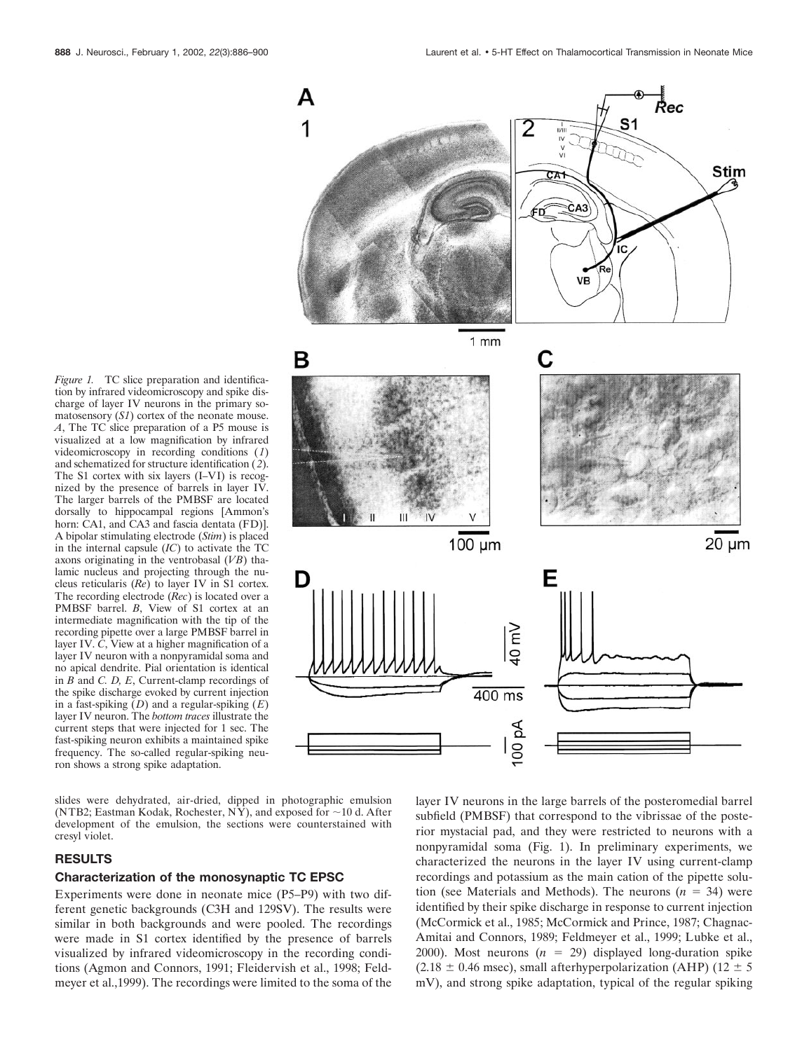*Figure 1.* TC slice preparation and identification by infrared videomicroscopy and spike discharge of layer IV neurons in the primary somatosensory (*S1*) cortex of the neonate mouse. *A*, The TC slice preparation of a P5 mouse is visualized at a low magnification by infrared videomicroscopy in recording conditions (*1*) and schematized for structure identification (*2*). The S1 cortex with six layers (I–VI) is recognized by the presence of barrels in layer IV. The larger barrels of the PMBSF are located dorsally to hippocampal regions [Ammon's horn: CA1, and CA3 and fascia dentata (FD)]. A bipolar stimulating electrode (*Stim*) is placed in the internal capsule (*IC*) to activate the TC axons originating in the ventrobasal (*VB*) thalamic nucleus and projecting through the nucleus reticularis (*Re*) to layer IV in S1 cortex. The recording electrode (*Rec*) is located over a PMBSF barrel. *B*, View of S1 cortex at an intermediate magnification with the tip of the recording pipette over a large PMBSF barrel in layer IV. *C*, View at a higher magnification of a layer IV neuron with a nonpyramidal soma and no apical dendrite. Pial orientation is identical in *B* and *C. D, E*, Current-clamp recordings of the spike discharge evoked by current injection in a fast-spiking (*D*) and a regular-spiking (*E*) layer IV neuron. The *bottom traces* illustrate the current steps that were injected for 1 sec. The fast-spiking neuron exhibits a maintained spike frequency. The so-called regular-spiking neuron shows a strong spike adaptation.



slides were dehydrated, air-dried, dipped in photographic emulsion (NTB2; Eastman Kodak, Rochester, NY), and exposed for  $\sim$ 10 d. After development of the emulsion, the sections were counterstained with cresyl violet.

#### **RESULTS**

#### **Characterization of the monosynaptic TC EPSC**

Experiments were done in neonate mice (P5–P9) with two different genetic backgrounds (C3H and 129SV). The results were similar in both backgrounds and were pooled. The recordings were made in S1 cortex identified by the presence of barrels visualized by infrared videomicroscopy in the recording conditions (Agmon and Connors, 1991; Fleidervish et al., 1998; Feldmeyer et al.,1999). The recordings were limited to the soma of the

layer IV neurons in the large barrels of the posteromedial barrel subfield (PMBSF) that correspond to the vibrissae of the posterior mystacial pad, and they were restricted to neurons with a nonpyramidal soma (Fig. 1). In preliminary experiments, we characterized the neurons in the layer IV using current-clamp recordings and potassium as the main cation of the pipette solution (see Materials and Methods). The neurons  $(n = 34)$  were identified by their spike discharge in response to current injection (McCormick et al., 1985; McCormick and Prince, 1987; Chagnac-Amitai and Connors, 1989; Feldmeyer et al., 1999; Lubke et al., 2000). Most neurons  $(n = 29)$  displayed long-duration spike (2.18  $\pm$  0.46 msec), small afterhyperpolarization (AHP) (12  $\pm$  5 mV), and strong spike adaptation, typical of the regular spiking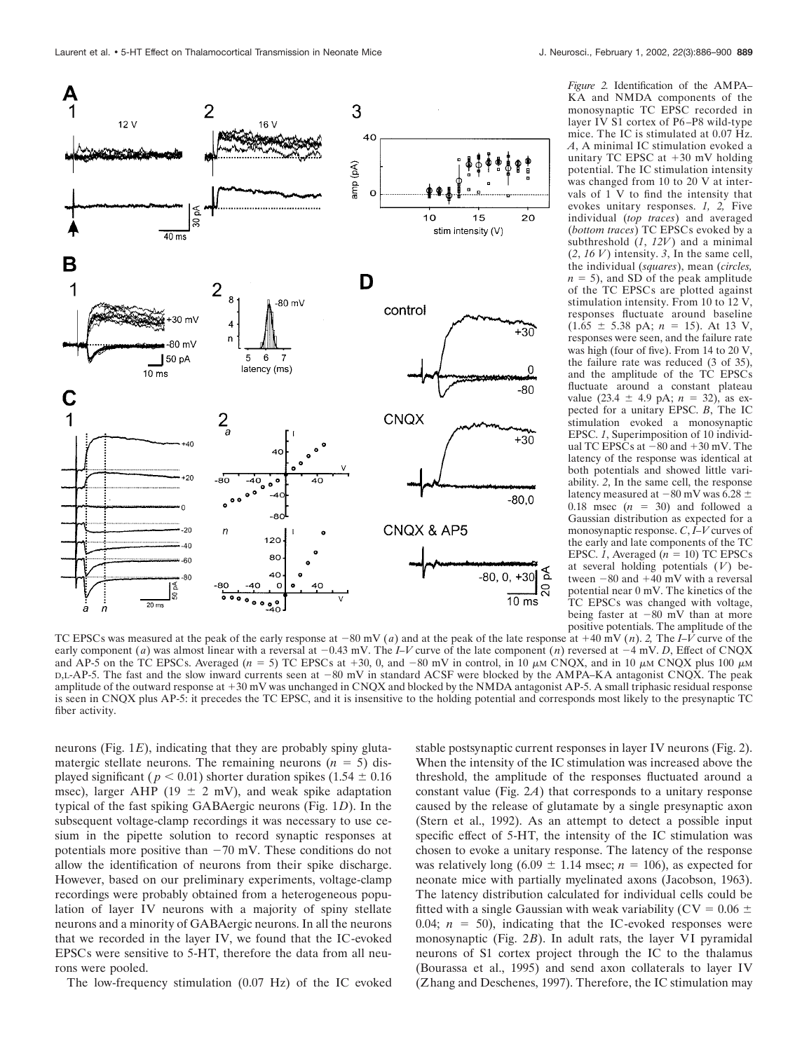

*Figure 2.* Identification of the AMPA– KA and NMDA components of the monosynaptic TC EPSC recorded in layer IV S1 cortex of P6 –P8 wild-type mice. The IC is stimulated at 0.07 Hz. *A*, A minimal IC stimulation evoked a unitary TC EPSC at  $+30$  mV holding potential. The IC stimulation intensity was changed from 10 to 20 V at intervals of  $1$  V to find the intensity that evokes unitary responses. *1, 2,* Five individual (*top traces*) and averaged (*bottom traces*) TC EPSCs evoked by a subthreshold (*1*, *12V*) and a minimal  $(2, 16 V)$  intensity. 3, In the same cell, the individual (*squares*), mean (*circles,*  $n = 5$ ), and SD of the peak amplitude of the TC EPSCs are plotted against stimulation intensity. From 10 to 12 V, responses fluctuate around baseline  $(1.65 \pm 5.38 \text{ pA}; n = 15)$ . At 13 V, responses were seen, and the failure rate was high (four of five). From 14 to 20 V, the failure rate was reduced (3 of 35), and the amplitude of the TC EPSCs fluctuate around a constant plateau value  $(23.4 \pm 4.9 \text{ pA}; n = 32)$ , as expected for a unitary EPSC. *B*, The IC stimulation evoked a monosynaptic EPSC. *1*, Superimposition of 10 individual TC EPSCs at  $-80$  and  $+30$  mV. The latency of the response was identical at both potentials and showed little variability. *2*, In the same cell, the response latency measured at  $-80$  mV was 6.28  $\pm$ 0.18 msec  $(n = 30)$  and followed a Gaussian distribution as expected for a monosynaptic response. *C*, *I–V* curves of the early and late components of the TC EPSC. 1, Averaged  $(n = 10)$  TC EPSCs at several holding potentials (*V*) between  $-80$  and  $+40$  mV with a reversal potential near 0 mV. The kinetics of the TC EPSCs was changed with voltage, being faster at  $-80$  mV than at more positive potentials. The amplitude of the

TC EPSCs was measured at the peak of the early response at  $-80$  mV (*a*) and at the peak of the late response at  $+40$  mV (*n*). 2, The *I–V* curve of the early component (*a*) was almost linear with a reversal at  $-0.43$  mV. The *I–V* curve of the late component (*n*) reversed at  $-4$  mV. *D*, Effect of CNQX and AP-5 on the TC EPSCs. Averaged  $(n = 5)$  TC EPSCs at +30, 0, and -80 mV in control, in 10  $\mu$ M CNQX, and in 10  $\mu$ M CNQX plus 100  $\mu$ M  $D$ ,L-AP-5. The fast and the slow inward currents seen at  $-80$  mV in standard ACSF were blocked by the AMPA–KA antagonist CNQX. The peak amplitude of the outward response at +30 mV was unchanged in CNQX and blocked by the NMDA antagonist AP-5. A small triphasic residual response is seen in CNQX plus AP-5: it precedes the TC EPSC, and it is insensitive to the holding potential and corresponds most likely to the presynaptic TC fiber activity.

neurons (Fig. 1*E*), indicating that they are probably spiny glutamatergic stellate neurons. The remaining neurons  $(n = 5)$  displayed significant ( $p < 0.01$ ) shorter duration spikes (1.54  $\pm$  0.16 msec), larger AHP (19  $\pm$  2 mV), and weak spike adaptation typical of the fast spiking GABAergic neurons (Fig. 1*D*). In the subsequent voltage-clamp recordings it was necessary to use cesium in the pipette solution to record synaptic responses at potentials more positive than  $-70$  mV. These conditions do not allow the identification of neurons from their spike discharge. However, based on our preliminary experiments, voltage-clamp recordings were probably obtained from a heterogeneous population of layer IV neurons with a majority of spiny stellate neurons and a minority of GABAergic neurons. In all the neurons that we recorded in the layer IV, we found that the IC-evoked EPSCs were sensitive to 5-HT, therefore the data from all neurons were pooled.

The low-frequency stimulation (0.07 Hz) of the IC evoked

stable postsynaptic current responses in layer IV neurons (Fig. 2). When the intensity of the IC stimulation was increased above the threshold, the amplitude of the responses fluctuated around a constant value (Fig. 2*A*) that corresponds to a unitary response caused by the release of glutamate by a single presynaptic axon (Stern et al., 1992). As an attempt to detect a possible input specific effect of 5-HT, the intensity of the IC stimulation was chosen to evoke a unitary response. The latency of the response was relatively long  $(6.09 \pm 1.14 \text{ msec}; n = 106)$ , as expected for neonate mice with partially myelinated axons (Jacobson, 1963). The latency distribution calculated for individual cells could be fitted with a single Gaussian with weak variability ( $CV = 0.06 \pm$ 0.04;  $n = 50$ ), indicating that the IC-evoked responses were monosynaptic (Fig. 2*B*). In adult rats, the layer VI pyramidal neurons of S1 cortex project through the IC to the thalamus (Bourassa et al., 1995) and send axon collaterals to layer IV (Zhang and Deschenes, 1997). Therefore, the IC stimulation may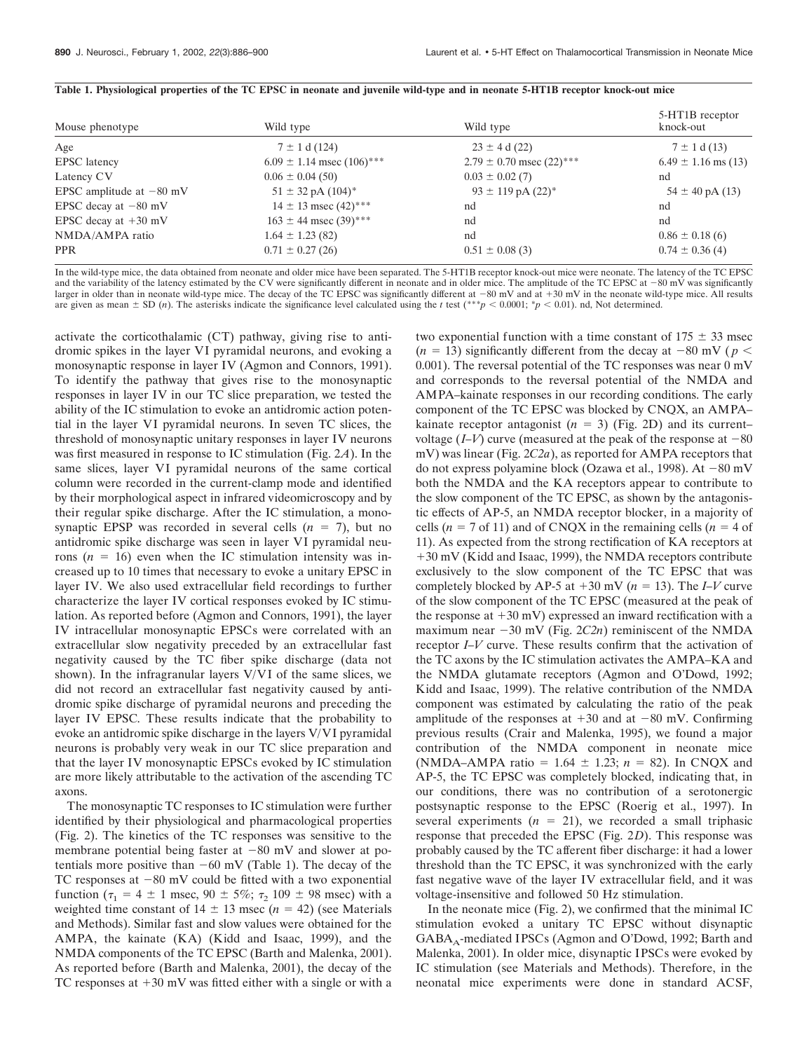| Mouse phenotype            | Wild type                        | Wild type                       | 5-HT1B receptor<br>knock-out |
|----------------------------|----------------------------------|---------------------------------|------------------------------|
| Age                        | $7 \pm 1$ d (124)                | $23 \pm 4$ d (22)               | $7 \pm 1$ d (13)             |
| <b>EPSC</b> latency        | $6.09 \pm 1.14$ msec $(106)$ *** | $2.79 \pm 0.70$ msec $(22)$ *** | $6.49 \pm 1.16$ ms (13)      |
| Latency CV                 | $0.06 \pm 0.04$ (50)             | $0.03 \pm 0.02$ (7)             | nd                           |
| EPSC amplitude at $-80$ mV | $51 \pm 32$ pA $(104)^*$         | $93 \pm 119$ pA $(22)^*$        | $54 \pm 40$ pA (13)          |
| EPSC decay at $-80$ mV     | $14 \pm 13$ msec $(42)$ ***      | nd                              | nd                           |
| EPSC decay at $+30$ mV     | $163 \pm 44$ msec $(39)$ ***     | nd                              | nd                           |
| NMDA/AMPA ratio            | $1.64 \pm 1.23$ (82)             | nd                              | $0.86 \pm 0.18$ (6)          |
| <b>PPR</b>                 | $0.71 \pm 0.27$ (26)             | $0.51 \pm 0.08$ (3)             | $0.74 \pm 0.36(4)$           |

#### **Table 1. Physiological properties of the TC EPSC in neonate and juvenile wild-type and in neonate 5-HT1B receptor knock-out mice**

In the wild-type mice, the data obtained from neonate and older mice have been separated. The 5-HT1B receptor knock-out mice were neonate. The latency of the TC EPSC and the variability of the latency estimated by the CV were significantly different in neonate and in older mice. The amplitude of the TC EPSC at  $-80$  mV was significantly larger in older than in neonate wild-type mice. The decay of the TC EPSC was significantly different at  $-80$  mV and at  $+30$  mV in the neonate wild-type mice. All results are given as mean  $\pm$  SD (*n*). The asterisks indicate the significance level calculated using the *t* test (\*\*\**p* < 0.0001; \**p* < 0.01). nd, Not determined.

activate the corticothalamic (CT) pathway, giving rise to antidromic spikes in the layer VI pyramidal neurons, and evoking a monosynaptic response in layer IV (Agmon and Connors, 1991). To identify the pathway that gives rise to the monosynaptic responses in layer IV in our TC slice preparation, we tested the ability of the IC stimulation to evoke an antidromic action potential in the layer VI pyramidal neurons. In seven TC slices, the threshold of monosynaptic unitary responses in layer IV neurons was first measured in response to IC stimulation (Fig. 2*A*). In the same slices, layer VI pyramidal neurons of the same cortical column were recorded in the current-clamp mode and identified by their morphological aspect in infrared videomicroscopy and by their regular spike discharge. After the IC stimulation, a monosynaptic EPSP was recorded in several cells  $(n = 7)$ , but no antidromic spike discharge was seen in layer VI pyramidal neurons  $(n = 16)$  even when the IC stimulation intensity was increased up to 10 times that necessary to evoke a unitary EPSC in layer IV. We also used extracellular field recordings to further characterize the layer IV cortical responses evoked by IC stimulation. As reported before (Agmon and Connors, 1991), the layer IV intracellular monosynaptic EPSCs were correlated with an extracellular slow negativity preceded by an extracellular fast negativity caused by the TC fiber spike discharge (data not shown). In the infragranular layers V/VI of the same slices, we did not record an extracellular fast negativity caused by antidromic spike discharge of pyramidal neurons and preceding the layer IV EPSC. These results indicate that the probability to evoke an antidromic spike discharge in the layers V/VI pyramidal neurons is probably very weak in our TC slice preparation and that the layer IV monosynaptic EPSCs evoked by IC stimulation are more likely attributable to the activation of the ascending TC axons.

The monosynaptic TC responses to IC stimulation were further identified by their physiological and pharmacological properties (Fig. 2). The kinetics of the TC responses was sensitive to the membrane potential being faster at  $-80$  mV and slower at potentials more positive than  $-60$  mV (Table 1). The decay of the TC responses at  $-80$  mV could be fitted with a two exponential function ( $\tau_1 = 4 \pm 1$  msec,  $90 \pm 5\%$ ;  $\tau_2$  109  $\pm$  98 msec) with a weighted time constant of  $14 \pm 13$  msec ( $n = 42$ ) (see Materials and Methods). Similar fast and slow values were obtained for the AMPA, the kainate (KA) (Kidd and Isaac, 1999), and the NMDA components of the TC EPSC (Barth and Malenka, 2001). As reported before (Barth and Malenka, 2001), the decay of the TC responses at  $+30$  mV was fitted either with a single or with a

two exponential function with a time constant of  $175 \pm 33$  msec  $(n = 13)$  significantly different from the decay at  $-80$  mV ( $p <$ 0.001). The reversal potential of the TC responses was near 0 mV and corresponds to the reversal potential of the NMDA and AMPA–kainate responses in our recording conditions. The early component of the TC EPSC was blocked by CNQX, an AMPA– kainate receptor antagonist  $(n = 3)$  (Fig. 2D) and its current– voltage  $(I-V)$  curve (measured at the peak of the response at  $-80$ mV) was linear (Fig. 2*C2a*), as reported for AMPA receptors that do not express polyamine block (Ozawa et al., 1998). At  $-80$  mV both the NMDA and the KA receptors appear to contribute to the slow component of the TC EPSC, as shown by the antagonistic effects of AP-5, an NMDA receptor blocker, in a majority of cells  $(n = 7$  of 11) and of CNQX in the remaining cells  $(n = 4$  of 11). As expected from the strong rectification of KA receptors at 30 mV (Kidd and Isaac, 1999), the NMDA receptors contribute exclusively to the slow component of the TC EPSC that was completely blocked by AP-5 at  $+30$  mV ( $n = 13$ ). The *I–V* curve of the slow component of the TC EPSC (measured at the peak of the response at  $+30$  mV) expressed an inward rectification with a maximum near  $-30$  mV (Fig.  $2C2n$ ) reminiscent of the NMDA receptor *I–V* curve. These results confirm that the activation of the TC axons by the IC stimulation activates the AMPA–KA and the NMDA glutamate receptors (Agmon and O'Dowd, 1992; Kidd and Isaac, 1999). The relative contribution of the NMDA component was estimated by calculating the ratio of the peak amplitude of the responses at  $+30$  and at  $-80$  mV. Confirming previous results (Crair and Malenka, 1995), we found a major contribution of the NMDA component in neonate mice (NMDA–AMPA ratio =  $1.64 \pm 1.23$ ;  $n = 82$ ). In CNQX and AP-5, the TC EPSC was completely blocked, indicating that, in our conditions, there was no contribution of a serotonergic postsynaptic response to the EPSC (Roerig et al., 1997). In several experiments  $(n = 21)$ , we recorded a small triphasic response that preceded the EPSC (Fig. 2*D*). This response was probably caused by the TC afferent fiber discharge: it had a lower threshold than the TC EPSC, it was synchronized with the early fast negative wave of the layer IV extracellular field, and it was voltage-insensitive and followed 50 Hz stimulation.

In the neonate mice (Fig. 2), we confirmed that the minimal IC stimulation evoked a unitary TC EPSC without disynaptic  $GABA_A$ -mediated IPSCs (Agmon and O'Dowd, 1992; Barth and Malenka, 2001). In older mice, disynaptic IPSCs were evoked by IC stimulation (see Materials and Methods). Therefore, in the neonatal mice experiments were done in standard ACSF,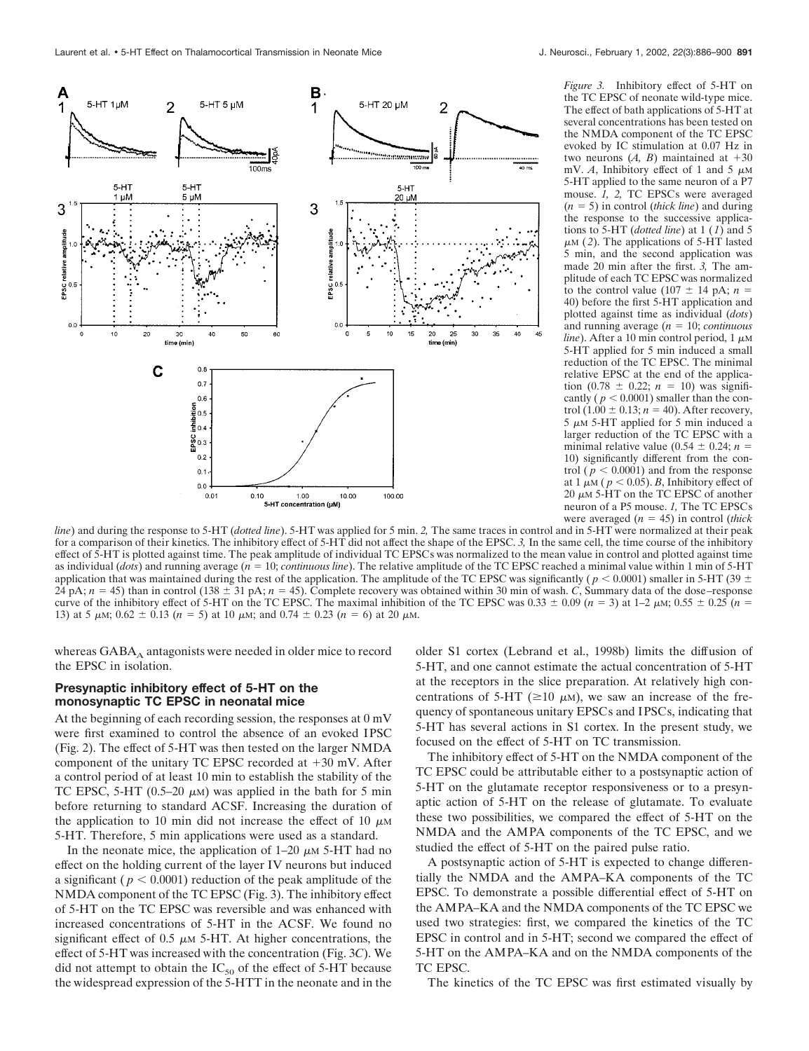

*Figure 3.* Inhibitory effect of 5-HT on the TC EPSC of neonate wild-type mice. The effect of bath applications of 5-HT at several concentrations has been tested on the NMDA component of the TC EPSC evoked by IC stimulation at 0.07 Hz in two neurons  $(A, B)$  maintained at  $+30$ mV.  $A$ , Inhibitory effect of 1 and 5  $\mu$ M 5-HT applied to the same neuron of a P7 mouse. *1, 2,* TC EPSCs were averaged (*n* - 5) in control (*thick line*) and during the response to the successive applications to 5-HT (*dotted line*) at 1 (*1*) and 5  $\mu$ <sub>M</sub> (2). The applications of 5-HT lasted 5 min, and the second application was made 20 min after the first. *3,* The amplitude of each TC EPSC was normalized to the control value (107  $\pm$  14 pA; *n* = 40) before the first 5-HT application and plotted against time as individual (*dots*) and running average (*n* = 10; *continuous line*). After a 10 min control period,  $1 \mu M$ 5-HT applied for 5 min induced a small reduction of the TC EPSC. The minimal relative EPSC at the end of the applica- $\frac{\text{tion}(0.78 \pm 0.22; n = 10)}{\text{was signifi}}$ cantly ( $p < 0.0001$ ) smaller than the con- $\text{trol}(1.00 \pm 0.13; n = 40)$ . After recovery,  $5 \mu M$  5-HT applied for 5 min induced a larger reduction of the TC EPSC with a minimal relative value  $(0.54 \pm 0.24; n =$ 10) significantly different from the control ( $p < 0.0001$ ) and from the response at 1  $\mu$ M ( $p < 0.05$ ). *B*, Inhibitory effect of 20  $\mu$ M 5-HT on the TC EPSC of another neuron of a P5 mouse. *1,* The TC EPSCs were averaged  $(n = 45)$  in control *(thick*)

*line*) and during the response to 5-HT (*dotted line*). 5-HT was applied for 5 min. *2,* The same traces in control and in 5-HT were normalized at their peak for a comparison of their kinetics. The inhibitory effect of 5-HT did not affect the shape of the EPSC. *3,* In the same cell, the time course of the inhibitory effect of 5-HT is plotted against time. The peak amplitude of individual TC EPSCs was normalized to the mean value in control and plotted against time as individual (*dots*) and running average (*n* = 10; *continuous line*). The relative amplitude of the TC EPSC reached a minimal value within 1 min of 5-HT application that was maintained during the rest of the application. The amplitude of the TC EPSC was significantly ( $p < 0.0001$ ) smaller in 5-HT (39  $\pm$  $24 \text{ pA}; n = 45$ ) than in control  $(138 \pm 31 \text{ pA}; n = 45)$ . Complete recovery was obtained within 30 min of wash. *C*, Summary data of the dose–response curve of the inhibitory effect of 5-HT on the TC EPSC. The maximal inhibition of the TC EPSC was  $0.33 \pm 0.09$  (*n* = 3) at 1–2  $\mu$ M;  $0.55 \pm 0.25$  (*n* = 13) at 5  $\mu$ M; 0.62  $\pm$  0.13 (*n* = 5) at 10  $\mu$ M; and 0.74  $\pm$  0.23 (*n* = 6) at 20  $\mu$ M.

whereas GABA<sub>A</sub> antagonists were needed in older mice to record the EPSC in isolation.

# **Presynaptic inhibitory effect of 5-HT on the monosynaptic TC EPSC in neonatal mice**

At the beginning of each recording session, the responses at 0 mV were first examined to control the absence of an evoked IPSC (Fig. 2). The effect of 5-HT was then tested on the larger NMDA component of the unitary TC EPSC recorded at  $+30$  mV. After a control period of at least 10 min to establish the stability of the TC EPSC, 5-HT (0.5–20  $\mu$ M) was applied in the bath for 5 min before returning to standard ACSF. Increasing the duration of the application to 10 min did not increase the effect of 10  $\mu$ M 5-HT. Therefore, 5 min applications were used as a standard.

In the neonate mice, the application of  $1-20 \mu M$  5-HT had no effect on the holding current of the layer IV neurons but induced a significant ( $p < 0.0001$ ) reduction of the peak amplitude of the NMDA component of the TC EPSC (Fig. 3). The inhibitory effect of 5-HT on the TC EPSC was reversible and was enhanced with increased concentrations of 5-HT in the ACSF. We found no significant effect of 0.5  $\mu$ m 5-HT. At higher concentrations, the effect of 5-HT was increased with the concentration (Fig. 3*C*). We did not attempt to obtain the  $IC_{50}$  of the effect of 5-HT because the widespread expression of the 5-HTT in the neonate and in the older S1 cortex (Lebrand et al., 1998b) limits the diffusion of 5-HT, and one cannot estimate the actual concentration of 5-HT at the receptors in the slice preparation. At relatively high concentrations of 5-HT ( $\geq$ 10  $\mu$ M), we saw an increase of the frequency of spontaneous unitary EPSCs and IPSCs, indicating that 5-HT has several actions in S1 cortex. In the present study, we focused on the effect of 5-HT on TC transmission.

The inhibitory effect of 5-HT on the NMDA component of the TC EPSC could be attributable either to a postsynaptic action of 5-HT on the glutamate receptor responsiveness or to a presynaptic action of 5-HT on the release of glutamate. To evaluate these two possibilities, we compared the effect of 5-HT on the NMDA and the AMPA components of the TC EPSC, and we studied the effect of 5-HT on the paired pulse ratio.

A postsynaptic action of 5-HT is expected to change differentially the NMDA and the AMPA–KA components of the TC EPSC. To demonstrate a possible differential effect of 5-HT on the AMPA–KA and the NMDA components of the TC EPSC we used two strategies: first, we compared the kinetics of the TC EPSC in control and in 5-HT; second we compared the effect of 5-HT on the AMPA–KA and on the NMDA components of the TC EPSC.

The kinetics of the TC EPSC was first estimated visually by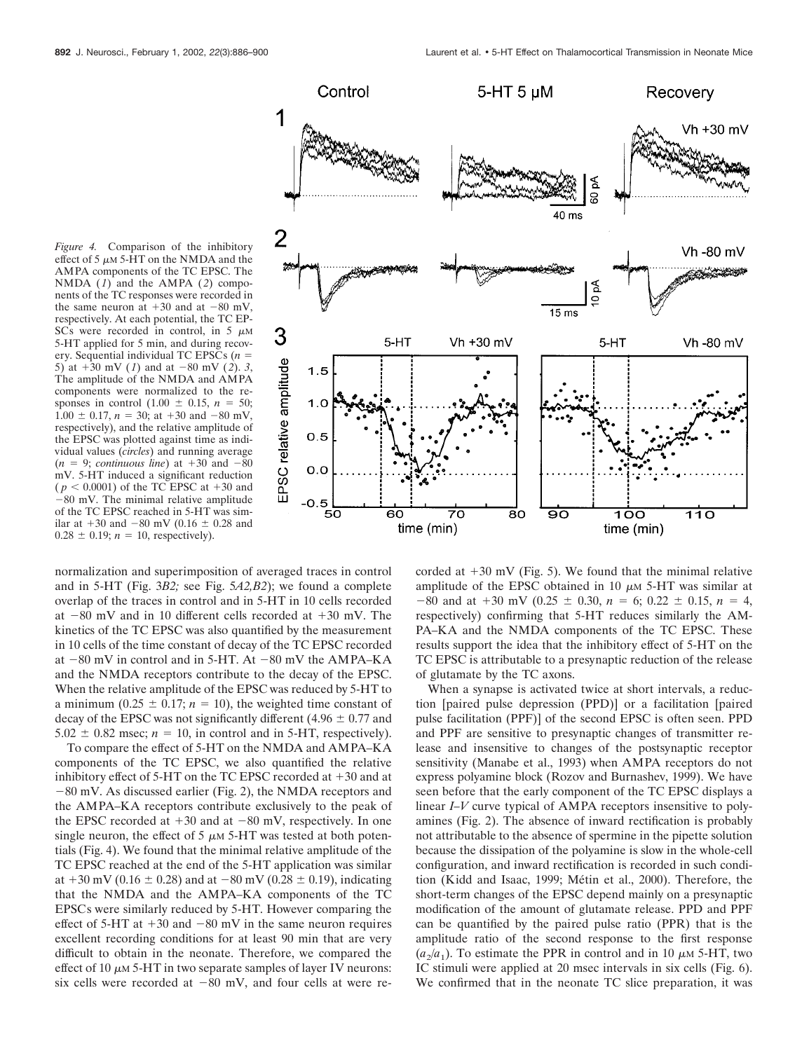*Figure 4.* Comparison of the inhibitory effect of 5  $\mu$ M 5-HT on the NMDA and the AMPA components of the TC EPSC. The NMDA  $(1)$  and the AMPA  $(2)$  components of the TC responses were recorded in the same neuron at  $+30$  and at  $-80$  mV, respectively. At each potential, the TC EP-SCs were recorded in control, in 5  $\mu$ M 5-HT applied for 5 min, and during recovery. Sequential individual TC EPSCs  $(n =$ 5) at  $+30$  mV (1) and at  $-80$  mV (2). 3, The amplitude of the NMDA and AMPA components were normalized to the responses in control  $(1.00 \pm 0.15, n = 50;$  $1.00 \pm 0.17$ ,  $n = 30$ ; at  $+30$  and  $-80$  mV, respectively), and the relative amplitude of the EPSC was plotted against time as individual values (*circles*) and running average  $(n = 9;$  *continuous line*) at  $+30$  and  $-80$ mV. 5-HT induced a significant reduction  $(p < 0.0001)$  of the TC EPSC at  $+30$  and -80 mV. The minimal relative amplitude of the TC EPSC reached in 5-HT was similar at  $+30$  and  $-80$  mV (0.16  $\pm$  0.28 and  $0.28 \pm 0.19$ ;  $n = 10$ , respectively).



normalization and superimposition of averaged traces in control and in 5-HT (Fig. 3*B2;* see Fig. 5*A2,B2*); we found a complete overlap of the traces in control and in 5-HT in 10 cells recorded at  $-80$  mV and in 10 different cells recorded at  $+30$  mV. The kinetics of the TC EPSC was also quantified by the measurement in 10 cells of the time constant of decay of the TC EPSC recorded at  $-80$  mV in control and in 5-HT. At  $-80$  mV the AMPA–KA and the NMDA receptors contribute to the decay of the EPSC. When the relative amplitude of the EPSC was reduced by 5-HT to a minimum ( $0.25 \pm 0.17$ ;  $n = 10$ ), the weighted time constant of decay of the EPSC was not significantly different  $(4.96 \pm 0.77)$  and  $5.02 \pm 0.82$  msec;  $n = 10$ , in control and in 5-HT, respectively).

To compare the effect of 5-HT on the NMDA and AMPA–KA components of the TC EPSC, we also quantified the relative inhibitory effect of  $5-HT$  on the TC EPSC recorded at  $+30$  and at  $-80$  mV. As discussed earlier (Fig. 2), the NMDA receptors and the AMPA–KA receptors contribute exclusively to the peak of the EPSC recorded at  $+30$  and at  $-80$  mV, respectively. In one single neuron, the effect of 5  $\mu$ m 5-HT was tested at both potentials (Fig. 4). We found that the minimal relative amplitude of the TC EPSC reached at the end of the 5-HT application was similar at  $+30$  mV (0.16  $\pm$  0.28) and at  $-80$  mV (0.28  $\pm$  0.19), indicating that the NMDA and the AMPA–KA components of the TC EPSCs were similarly reduced by 5-HT. However comparing the effect of 5-HT at  $+30$  and  $-80$  mV in the same neuron requires excellent recording conditions for at least 90 min that are very difficult to obtain in the neonate. Therefore, we compared the effect of 10  $\mu$ m 5-HT in two separate samples of layer IV neurons: six cells were recorded at  $-80$  mV, and four cells at were recorded at  $+30$  mV (Fig. 5). We found that the minimal relative amplitude of the EPSC obtained in 10  $\mu$ M 5-HT was similar at  $-80$  and at  $+30$  mV (0.25  $\pm$  0.30,  $n = 6$ ; 0.22  $\pm$  0.15,  $n = 4$ , respectively) confirming that 5-HT reduces similarly the AM-PA–KA and the NMDA components of the TC EPSC. These results support the idea that the inhibitory effect of 5-HT on the TC EPSC is attributable to a presynaptic reduction of the release of glutamate by the TC axons.

When a synapse is activated twice at short intervals, a reduction [paired pulse depression (PPD)] or a facilitation [paired pulse facilitation (PPF)] of the second EPSC is often seen. PPD and PPF are sensitive to presynaptic changes of transmitter release and insensitive to changes of the postsynaptic receptor sensitivity (Manabe et al., 1993) when AMPA receptors do not express polyamine block (Rozov and Burnashev, 1999). We have seen before that the early component of the TC EPSC displays a linear *I–V* curve typical of AMPA receptors insensitive to polyamines (Fig. 2). The absence of inward rectification is probably not attributable to the absence of spermine in the pipette solution because the dissipation of the polyamine is slow in the whole-cell configuration, and inward rectification is recorded in such condition (Kidd and Isaac, 1999; Métin et al., 2000). Therefore, the short-term changes of the EPSC depend mainly on a presynaptic modification of the amount of glutamate release. PPD and PPF can be quantified by the paired pulse ratio (PPR) that is the amplitude ratio of the second response to the first response  $(a_2/a_1)$ . To estimate the PPR in control and in 10  $\mu$ M 5-HT, two IC stimuli were applied at 20 msec intervals in six cells (Fig. 6). We confirmed that in the neonate TC slice preparation, it was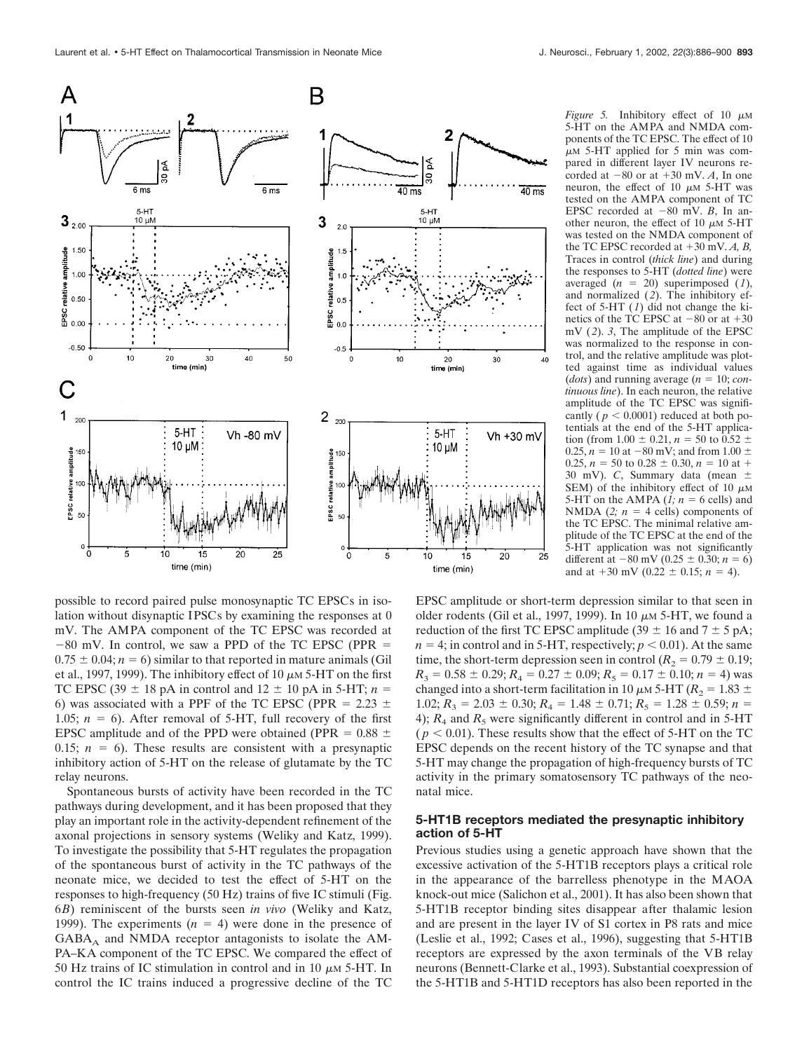

possible to record paired pulse monosynaptic TC EPSCs in isolation without disynaptic IPSCs by examining the responses at 0 mV. The AMPA component of the TC EPSC was recorded at  $-80$  mV. In control, we saw a PPD of the TC EPSC (PPR =  $0.75 \pm 0.04$ ;  $n = 6$ ) similar to that reported in mature animals (Gil et al., 1997, 1999). The inhibitory effect of 10  $\mu$ m 5-HT on the first TC EPSC (39  $\pm$  18 pA in control and 12  $\pm$  10 pA in 5-HT; *n* = 6) was associated with a PPF of the TC EPSC (PPR = 2.23  $\pm$ 1.05;  $n = 6$ ). After removal of 5-HT, full recovery of the first EPSC amplitude and of the PPD were obtained (PPR =  $0.88 \pm$ 0.15;  $n = 6$ ). These results are consistent with a presynaptic inhibitory action of 5-HT on the release of glutamate by the TC relay neurons.

Spontaneous bursts of activity have been recorded in the TC pathways during development, and it has been proposed that they play an important role in the activity-dependent refinement of the axonal projections in sensory systems (Weliky and Katz, 1999). To investigate the possibility that 5-HT regulates the propagation of the spontaneous burst of activity in the TC pathways of the neonate mice, we decided to test the effect of 5-HT on the responses to high-frequency (50 Hz) trains of five IC stimuli (Fig. 6*B*) reminiscent of the bursts seen *in vivo* (Weliky and Katz, 1999). The experiments  $(n = 4)$  were done in the presence of  $GABA_A$  and NMDA receptor antagonists to isolate the AM-PA–KA component of the TC EPSC. We compared the effect of 50 Hz trains of IC stimulation in control and in 10  $\mu$ M 5-HT. In control the IC trains induced a progressive decline of the TC

*Figure 5.* Inhibitory effect of  $10 \mu M$ 5-HT on the AMPA and NMDA components of the TC EPSC. The effect of 10  $\mu$ M 5-HT applied for 5 min was compared in different layer IV neurons recorded at  $-80$  or at  $+30$  mV. *A*, In one neuron, the effect of 10  $\mu$ M 5-HT was tested on the AMPA component of TC EPSC recorded at  $-80$  mV. *B*, In another neuron, the effect of 10  $\mu$ M 5-HT was tested on the NMDA component of the TC EPSC recorded at  $+30$  mV.  $A$ ,  $B$ , Traces in control (*thick line*) and during the responses to 5-HT (*dotted line*) were averaged  $(n = 20)$  superimposed  $(1)$ , and normalized (*2*). The inhibitory effect of 5-HT (*1*) did not change the kinetics of the TC EPSC at  $-80$  or at  $+30$ mV (*2*). *3*, The amplitude of the EPSC was normalized to the response in control, and the relative amplitude was plotted against time as individual values (*dots*) and running average ( $n = 10$ ; *continuous line*). In each neuron, the relative amplitude of the TC EPSC was significantly ( $p < 0.0001$ ) reduced at both potentials at the end of the 5-HT application (from  $1.00 \pm 0.21$ ,  $n = 50$  to  $0.52 \pm 0.21$  $0.25, n = 10$  at  $-80$  mV; and from  $1.00 \pm$  $0.25$ ,  $n = 50$  to  $0.28 \pm 0.30$ ,  $n = 10$  at  $+$ 30 mV). *C*, Summary data (mean SEM) of the inhibitory effect of 10  $\mu$ M 5-HT on the AMPA  $(l; n = 6$  cells) and NMDA  $(2; n = 4$  cells) components of the TC EPSC. The minimal relative amplitude of the TC EPSC at the end of the 5-HT application was not significantly different at  $-80$  mV (0.25  $\pm$  0.30; *n* = 6) and at  $+30$  mV (0.22  $\pm$  0.15; *n* = 4).

EPSC amplitude or short-term depression similar to that seen in older rodents (Gil et al., 1997, 1999). In 10  $\mu$ M 5-HT, we found a reduction of the first TC EPSC amplitude (39  $\pm$  16 and 7  $\pm$  5 pA;  $n = 4$ ; in control and in 5-HT, respectively;  $p < 0.01$ ). At the same time, the short-term depression seen in control  $(R_2 = 0.79 \pm 0.19;$  $R_3 = 0.58 \pm 0.29; R_4 = 0.27 \pm 0.09; R_5 = 0.17 \pm 0.10; n = 4$ ) was changed into a short-term facilitation in 10  $\mu$ m 5-HT ( $R_2 = 1.83 \pm$  $1.02; R_3 = 2.03 \pm 0.30; R_4 = 1.48 \pm 0.71; R_5 = 1.28 \pm 0.59; n =$ 4);  $R_4$  and  $R_5$  were significantly different in control and in 5-HT  $(p < 0.01)$ . These results show that the effect of 5-HT on the TC EPSC depends on the recent history of the TC synapse and that 5-HT may change the propagation of high-frequency bursts of TC activity in the primary somatosensory TC pathways of the neonatal mice.

# **5-HT1B receptors mediated the presynaptic inhibitory action of 5-HT**

Previous studies using a genetic approach have shown that the excessive activation of the 5-HT1B receptors plays a critical role in the appearance of the barrelless phenotype in the MAOA knock-out mice (Salichon et al., 2001). It has also been shown that 5-HT1B receptor binding sites disappear after thalamic lesion and are present in the layer IV of S1 cortex in P8 rats and mice (Leslie et al., 1992; Cases et al., 1996), suggesting that 5-HT1B receptors are expressed by the axon terminals of the VB relay neurons (Bennett-Clarke et al., 1993). Substantial coexpression of the 5-HT1B and 5-HT1D receptors has also been reported in the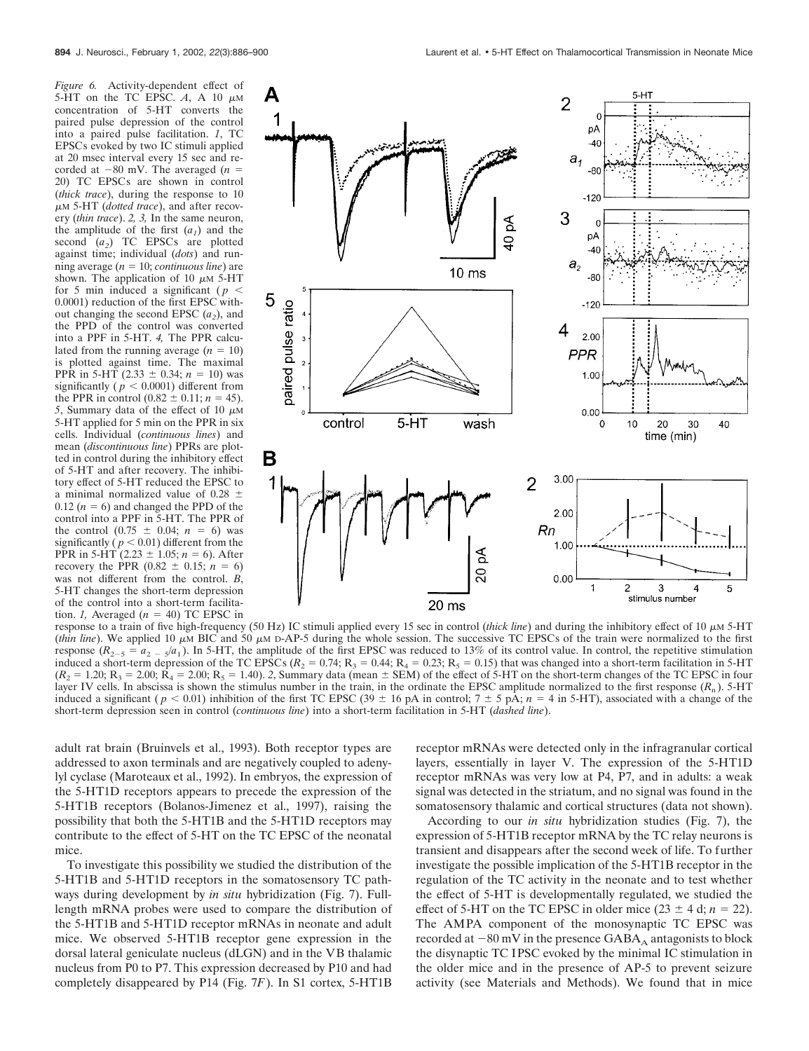*Figure 6.* Activity-dependent effect of 5-HT on the TC EPSC.  $A$ , A 10  $\mu$ M concentration of 5-HT converts the paired pulse depression of the control into a paired pulse facilitation. *1*, TC EPSCs evoked by two IC stimuli applied at 20 msec interval every 15 sec and recorded at  $-80$  mV. The averaged ( $n =$ 20) TC EPSCs are shown in control (*thick trace*), during the response to 10 M 5-HT (*dotted trace*), and after recovery (*thin trace*). *2, 3,* In the same neuron, the amplitude of the first  $(a_1)$  and the second  $(a_2)$  TC EPSCs are plotted against time; individual (*dots*) and running average  $(n = 10;$  *continuous line*) are shown. The application of 10  $\mu$ M 5-HT for 5 min induced a significant ( $p <$ 0.0001) reduction of the first EPSC without changing the second EPSC  $(a_2)$ , and the PPD of the control was converted into a PPF in 5-HT. *4,* The PPR calculated from the running average  $(n = 10)$ is plotted against time. The maximal PPR in 5-HT  $(2.33 \pm 0.34; n = 10)$  was significantly ( $p < 0.0001$ ) different from the PPR in control  $(0.82 \pm 0.11; n = 45)$ . 5, Summary data of the effect of 10  $\mu$ M 5-HT applied for 5 min on the PPR in six cells. Individual (*continuous lines*) and mean (*discontinuous line*) PPRs are plotted in control during the inhibitory effect of 5-HT and after recovery. The inhibitory effect of 5-HT reduced the EPSC to a minimal normalized value of 0.28  $\pm$  $0.12$  ( $n = 6$ ) and changed the PPD of the control into a PPF in 5-HT. The PPR of the control  $(0.75 \pm 0.04; n = 6)$  was significantly ( $p < 0.01$ ) different from the PPR in 5-HT  $(2.23 \pm 1.05; n = 6)$ . After recovery the PPR  $(0.82 \pm 0.15; n = 6)$ was not different from the control. *B*, 5-HT changes the short-term depression of the control into a short-term facilitation. *1*, Averaged  $(n = 40)$  TC EPSC in



response to a train of five high-frequency (50 Hz) IC stimuli applied every 15 sec in control *(thick line*) and during the inhibitory effect of 10  $\mu$ M 5-HT (*thin line*). We applied 10  $\mu$ M BIC and 50  $\mu$ M D-AP-5 during the whole session. The successive TC EPSCs of the train were normalized to the first response  $(R_{2-5} = a_{2-5}/a_1)$ . In 5-HT, the amplitude of the first EPSC was reduced to 13% of its control value. In control, the repetitive stimulation induced a short-term depression of the TC EPSCs ( $R_2 = 0.74$ ;  $R_3 = 0.44$ ;  $R_4 = 0.23$ ;  $R_5 = 0.15$ ) that was changed into a short-term facilitation in 5-HT  $(R_2 = 1.20; R_3 = 2.00; R_4 = 2.00; R_5 = 1.40)$ . 2, Summary data (mean  $\pm$  SEM) of the effect of 5-HT on the short-term changes of the TC EPSC in four layer IV cells. In abscissa is shown the stimulus number in the train, in the ordinate the EPSC amplitude normalized to the first response  $(R_n)$ . 5-HT induced a significant ( $p < 0.01$ ) inhibition of the first TC EPSC (39  $\pm$  16 pA in control; 7  $\pm$  5 pA; *n* = 4 in 5-HT), associated with a change of the short-term depression seen in control (*continuous line*) into a short-term facilitation in 5-HT (*dashed line*).

adult rat brain (Bruinvels et al., 1993). Both receptor types are addressed to axon terminals and are negatively coupled to adenylyl cyclase (Maroteaux et al., 1992). In embryos, the expression of the 5-HT1D receptors appears to precede the expression of the 5-HT1B receptors (Bolanos-Jimenez et al., 1997), raising the possibility that both the 5-HT1B and the 5-HT1D receptors may contribute to the effect of 5-HT on the TC EPSC of the neonatal mice.

To investigate this possibility we studied the distribution of the 5-HT1B and 5-HT1D receptors in the somatosensory TC pathways during development by *in situ* hybridization (Fig. 7). Fulllength mRNA probes were used to compare the distribution of the 5-HT1B and 5-HT1D receptor mRNAs in neonate and adult mice. We observed 5-HT1B receptor gene expression in the dorsal lateral geniculate nucleus (dLGN) and in the VB thalamic nucleus from P0 to P7. This expression decreased by P10 and had completely disappeared by P14 (Fig. 7*F*). In S1 cortex, 5-HT1B

receptor mRNAs were detected only in the infragranular cortical layers, essentially in layer V. The expression of the 5-HT1D receptor mRNAs was very low at P4, P7, and in adults: a weak signal was detected in the striatum, and no signal was found in the somatosensory thalamic and cortical structures (data not shown).

According to our *in situ* hybridization studies (Fig. 7), the expression of 5-HT1B receptor mRNA by the TC relay neurons is transient and disappears after the second week of life. To further investigate the possible implication of the 5-HT1B receptor in the regulation of the TC activity in the neonate and to test whether the effect of 5-HT is developmentally regulated, we studied the effect of 5-HT on the TC EPSC in older mice  $(23 \pm 4 \text{ d}; n = 22)$ . The AMPA component of the monosynaptic TC EPSC was recorded at  $-80$  mV in the presence  $GABA_A$  antagonists to block the disynaptic TC IPSC evoked by the minimal IC stimulation in the older mice and in the presence of AP-5 to prevent seizure activity (see Materials and Methods). We found that in mice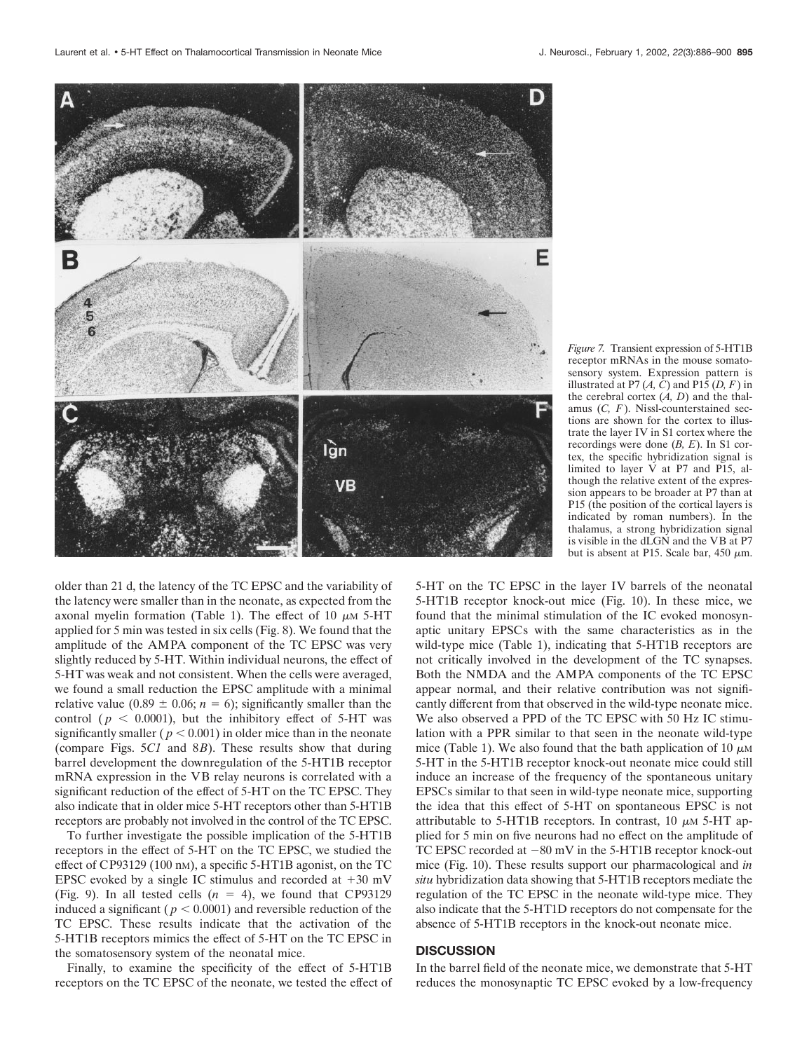

*Figure 7.* Transient expression of 5-HT1B receptor mRNAs in the mouse somatosensory system. Expression pattern is illustrated at P7  $(A, C)$  and P15  $(D, F)$  in the cerebral cortex  $(A, D)$  and the thalamus (*C, F*). Nissl-counterstained sections are shown for the cortex to illustrate the layer IV in S1 cortex where the recordings were done (*B, E*). In S1 cortex, the specific hybridization signal is limited to layer V at P7 and P15, although the relative extent of the expression appears to be broader at P7 than at P15 (the position of the cortical layers is indicated by roman numbers). In the thalamus, a strong hybridization signal is visible in the dLGN and the VB at P7 but is absent at P15. Scale bar,  $450 \mu m$ .

older than 21 d, the latency of the TC EPSC and the variability of the latency were smaller than in the neonate, as expected from the axonal myelin formation (Table 1). The effect of 10  $\mu$ M 5-HT applied for 5 min was tested in six cells (Fig. 8). We found that the amplitude of the AMPA component of the TC EPSC was very slightly reduced by 5-HT. Within individual neurons, the effect of 5-HT was weak and not consistent. When the cells were averaged, we found a small reduction the EPSC amplitude with a minimal relative value  $(0.89 \pm 0.06; n = 6)$ ; significantly smaller than the control ( $p \leq 0.0001$ ), but the inhibitory effect of 5-HT was significantly smaller ( $p < 0.001$ ) in older mice than in the neonate (compare Figs. 5*C1* and 8*B*). These results show that during barrel development the downregulation of the 5-HT1B receptor mRNA expression in the VB relay neurons is correlated with a significant reduction of the effect of 5-HT on the TC EPSC. They also indicate that in older mice 5-HT receptors other than 5-HT1B receptors are probably not involved in the control of the TC EPSC.

To further investigate the possible implication of the 5-HT1B receptors in the effect of 5-HT on the TC EPSC, we studied the effect of CP93129 (100 nM), a specific 5-HT1B agonist, on the TC EPSC evoked by a single IC stimulus and recorded at  $+30$  mV (Fig. 9). In all tested cells  $(n = 4)$ , we found that CP93129 induced a significant ( $p < 0.0001$ ) and reversible reduction of the TC EPSC. These results indicate that the activation of the 5-HT1B receptors mimics the effect of 5-HT on the TC EPSC in the somatosensory system of the neonatal mice.

Finally, to examine the specificity of the effect of 5-HT1B receptors on the TC EPSC of the neonate, we tested the effect of 5-HT on the TC EPSC in the layer IV barrels of the neonatal 5-HT1B receptor knock-out mice (Fig. 10). In these mice, we found that the minimal stimulation of the IC evoked monosynaptic unitary EPSCs with the same characteristics as in the wild-type mice (Table 1), indicating that 5-HT1B receptors are not critically involved in the development of the TC synapses. Both the NMDA and the AMPA components of the TC EPSC appear normal, and their relative contribution was not significantly different from that observed in the wild-type neonate mice. We also observed a PPD of the TC EPSC with 50 Hz IC stimulation with a PPR similar to that seen in the neonate wild-type mice (Table 1). We also found that the bath application of 10  $\mu$ M 5-HT in the 5-HT1B receptor knock-out neonate mice could still induce an increase of the frequency of the spontaneous unitary EPSCs similar to that seen in wild-type neonate mice, supporting the idea that this effect of 5-HT on spontaneous EPSC is not attributable to 5-HT1B receptors. In contrast, 10  $\mu$ M 5-HT applied for 5 min on five neurons had no effect on the amplitude of TC EPSC recorded at  $-80$  mV in the 5-HT1B receptor knock-out mice (Fig. 10). These results support our pharmacological and *in situ* hybridization data showing that 5-HT1B receptors mediate the regulation of the TC EPSC in the neonate wild-type mice. They also indicate that the 5-HT1D receptors do not compensate for the absence of 5-HT1B receptors in the knock-out neonate mice.

# **DISCUSSION**

In the barrel field of the neonate mice, we demonstrate that 5-HT reduces the monosynaptic TC EPSC evoked by a low-frequency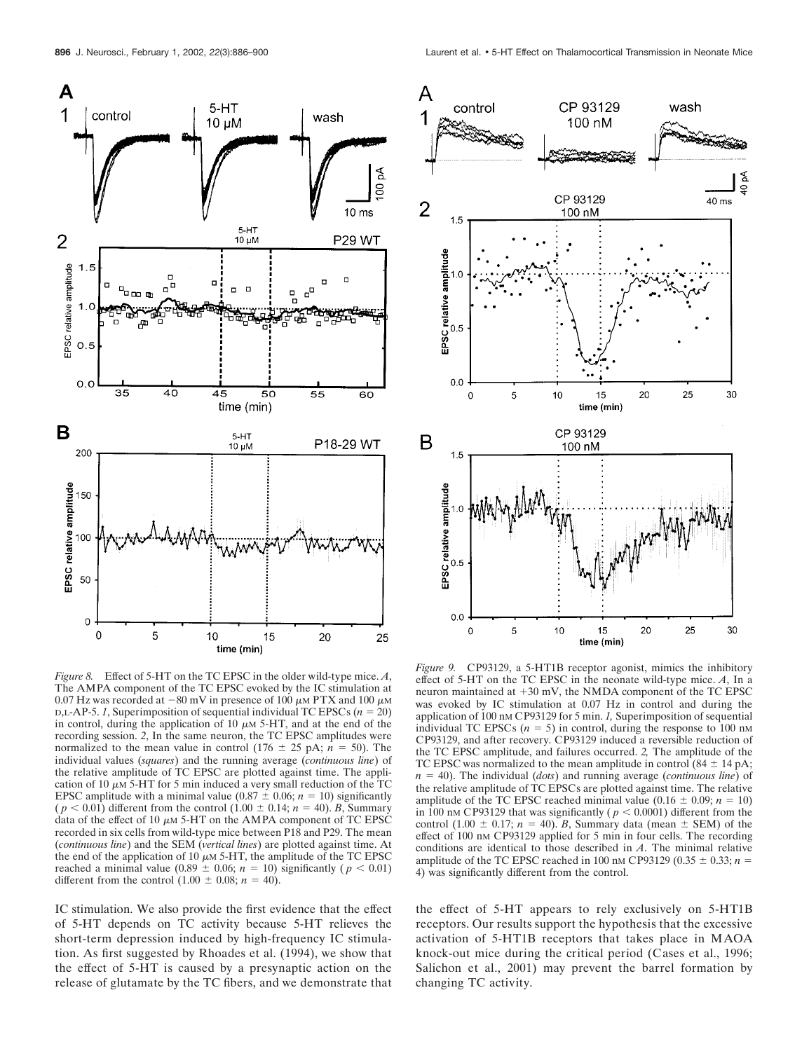

The AMPA component of the TC EPSC evoked by the IC stimulation at 0.07 Hz was recorded at  $-80$  mV in presence of 100  $\mu$ M PTX and 100  $\mu$ M  $D,L-AP-5.$  *I*, Superimposition of sequential individual TC EPSCs ( $n = 20$ ) in control, during the application of 10  $\mu$ m 5-HT, and at the end of the recording session. *2*, In the same neuron, the TC EPSC amplitudes were normalized to the mean value in control  $(176 \pm 25 \text{ pA}; n = 50)$ . The individual values (*squares*) and the running average (*continuous line*) of the relative amplitude of TC EPSC are plotted against time. The application of 10  $\mu$ M 5-HT for 5 min induced a very small reduction of the TC EPSC amplitude with a minimal value  $(0.87 \pm 0.06; n = 10)$  significantly  $(p < 0.01)$  different from the control  $(1.00 \pm 0.14; n = 40)$ . *B*, Summary data of the effect of 10  $\mu$ M 5-HT on the AMPA component of TC EPSC recorded in six cells from wild-type mice between P18 and P29. The mean (*continuous line*) and the SEM (*vertical lines*) are plotted against time. At the end of the application of 10  $\mu$ m 5-HT, the amplitude of the TC EPSC reached a minimal value  $(0.89 \pm 0.06; n = 10)$  significantly  $(p < 0.01)$ different from the control  $(1.00 \pm 0.08; n = 40)$ .

IC stimulation. We also provide the first evidence that the effect of 5-HT depends on TC activity because 5-HT relieves the short-term depression induced by high-frequency IC stimulation. As first suggested by Rhoades et al. (1994), we show that the effect of 5-HT is caused by a presynaptic action on the release of glutamate by the TC fibers, and we demonstrate that



*Figure 9.* CP93129, a 5-HT1B receptor agonist, mimics the inhibitory effect of 5-HT on the TC EPSC in the neonate wild-type mice. *A*, In a neuron maintained at  $+30$  mV, the NMDA component of the TC EPSC was evoked by IC stimulation at 0.07 Hz in control and during the application of 100 nM CP93129 for 5 min. *1,* Superimposition of sequential individual TC EPSCs  $(n = 5)$  in control, during the response to 100 nm CP93129, and after recovery. CP93129 induced a reversible reduction of the TC EPSC amplitude, and failures occurred. *2,* The amplitude of the TC EPSC was normalized to the mean amplitude in control  $(84 \pm 14 \text{ pA})$ ; *n* - 40). The individual (*dots*) and running average (*continuous line*) of the relative amplitude of TC EPSCs are plotted against time. The relative amplitude of the TC EPSC reached minimal value  $(0.16 \pm 0.09; n = 10)$ in 100 nm CP93129 that was significantly ( $p < 0.0001$ ) different from the control  $(1.00 \pm 0.17; n = 40)$ . *B*, Summary data (mean  $\pm$  SEM) of the effect of 100 nM CP93129 applied for 5 min in four cells. The recording conditions are identical to those described in *A*. The minimal relative amplitude of the TC EPSC reached in 100 nm CP93129  $(0.35 \pm 0.33; n =$ 4) was significantly different from the control.

the effect of 5-HT appears to rely exclusively on 5-HT1B receptors. Our results support the hypothesis that the excessive activation of 5-HT1B receptors that takes place in MAOA knock-out mice during the critical period (Cases et al., 1996; Salichon et al., 2001) may prevent the barrel formation by changing TC activity.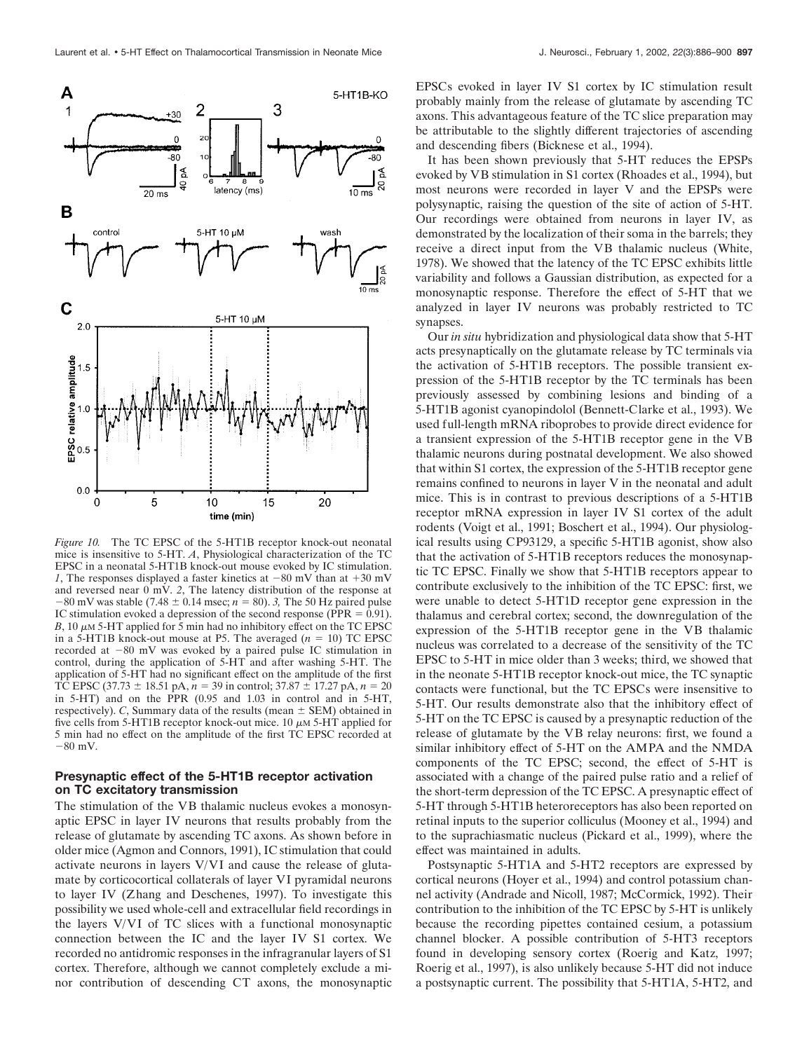

*Figure 10.* The TC EPSC of the 5-HT1B receptor knock-out neonatal mice is insensitive to 5-HT. *A*, Physiological characterization of the TC EPSC in a neonatal 5-HT1B knock-out mouse evoked by IC stimulation. *1*, The responses displayed a faster kinetics at  $-80$  mV than at  $+30$  mV and reversed near 0 mV. *2*, The latency distribution of the response at  $-80$  mV was stable (7.48  $\pm$  0.14 msec; *n* = 80). 3, The 50 Hz paired pulse IC stimulation evoked a depression of the second response ( $PPR = 0.91$ ).  $B$ , 10  $\mu$ M 5-HT applied for 5 min had no inhibitory effect on the TC EPSC in a 5-HT1B knock-out mouse at P5. The averaged  $(n = 10)$  TC EPSC recorded at  $-80$  mV was evoked by a paired pulse IC stimulation in control, during the application of 5-HT and after washing 5-HT. The application of 5-HT had no significant effect on the amplitude of the first TC EPSC (37.73  $\pm$  18.51 pA, *n* = 39 in control; 37.87  $\pm$  17.27 pA, *n* = 20 in 5-HT) and on the PPR  $(0.95$  and  $1.03$  in control and in 5-HT, respectively). *C*, Summary data of the results (mean  $\pm$  SEM) obtained in five cells from 5-HT1B receptor knock-out mice. 10  $\mu$ M 5-HT applied for 5 min had no effect on the amplitude of the first TC EPSC recorded at  $-80$  mV.

# **Presynaptic effect of the 5-HT1B receptor activation on TC excitatory transmission**

The stimulation of the VB thalamic nucleus evokes a monosynaptic EPSC in layer IV neurons that results probably from the release of glutamate by ascending TC axons. As shown before in older mice (Agmon and Connors, 1991), IC stimulation that could activate neurons in layers V/VI and cause the release of glutamate by corticocortical collaterals of layer VI pyramidal neurons to layer IV (Zhang and Deschenes, 1997). To investigate this possibility we used whole-cell and extracellular field recordings in the layers V/VI of TC slices with a functional monosynaptic connection between the IC and the layer IV S1 cortex. We recorded no antidromic responses in the infragranular layers of S1 cortex. Therefore, although we cannot completely exclude a minor contribution of descending CT axons, the monosynaptic EPSCs evoked in layer IV S1 cortex by IC stimulation result probably mainly from the release of glutamate by ascending TC axons. This advantageous feature of the TC slice preparation may be attributable to the slightly different trajectories of ascending and descending fibers (Bicknese et al., 1994).

It has been shown previously that 5-HT reduces the EPSPs evoked by VB stimulation in S1 cortex (Rhoades et al., 1994), but most neurons were recorded in layer V and the EPSPs were polysynaptic, raising the question of the site of action of 5-HT. Our recordings were obtained from neurons in layer IV, as demonstrated by the localization of their soma in the barrels; they receive a direct input from the VB thalamic nucleus (White, 1978). We showed that the latency of the TC EPSC exhibits little variability and follows a Gaussian distribution, as expected for a monosynaptic response. Therefore the effect of 5-HT that we analyzed in layer IV neurons was probably restricted to TC synapses.

Our *in situ* hybridization and physiological data show that 5-HT acts presynaptically on the glutamate release by TC terminals via the activation of 5-HT1B receptors. The possible transient expression of the 5-HT1B receptor by the TC terminals has been previously assessed by combining lesions and binding of a 5-HT1B agonist cyanopindolol (Bennett-Clarke et al., 1993). We used full-length mRNA riboprobes to provide direct evidence for a transient expression of the 5-HT1B receptor gene in the VB thalamic neurons during postnatal development. We also showed that within S1 cortex, the expression of the 5-HT1B receptor gene remains confined to neurons in layer V in the neonatal and adult mice. This is in contrast to previous descriptions of a 5-HT1B receptor mRNA expression in layer IV S1 cortex of the adult rodents (Voigt et al., 1991; Boschert et al., 1994). Our physiological results using CP93129, a specific 5-HT1B agonist, show also that the activation of 5-HT1B receptors reduces the monosynaptic TC EPSC. Finally we show that 5-HT1B receptors appear to contribute exclusively to the inhibition of the TC EPSC: first, we were unable to detect 5-HT1D receptor gene expression in the thalamus and cerebral cortex; second, the downregulation of the expression of the 5-HT1B receptor gene in the VB thalamic nucleus was correlated to a decrease of the sensitivity of the TC EPSC to 5-HT in mice older than 3 weeks; third, we showed that in the neonate 5-HT1B receptor knock-out mice, the TC synaptic contacts were functional, but the TC EPSCs were insensitive to 5-HT. Our results demonstrate also that the inhibitory effect of 5-HT on the TC EPSC is caused by a presynaptic reduction of the release of glutamate by the VB relay neurons: first, we found a similar inhibitory effect of 5-HT on the AMPA and the NMDA components of the TC EPSC; second, the effect of 5-HT is associated with a change of the paired pulse ratio and a relief of the short-term depression of the TC EPSC. A presynaptic effect of 5-HT through 5-HT1B heteroreceptors has also been reported on retinal inputs to the superior colliculus (Mooney et al., 1994) and to the suprachiasmatic nucleus (Pickard et al., 1999), where the effect was maintained in adults.

Postsynaptic 5-HT1A and 5-HT2 receptors are expressed by cortical neurons (Hoyer et al., 1994) and control potassium channel activity (Andrade and Nicoll, 1987; McCormick, 1992). Their contribution to the inhibition of the TC EPSC by 5-HT is unlikely because the recording pipettes contained cesium, a potassium channel blocker. A possible contribution of 5-HT3 receptors found in developing sensory cortex (Roerig and Katz, 1997; Roerig et al., 1997), is also unlikely because 5-HT did not induce a postsynaptic current. The possibility that 5-HT1A, 5-HT2, and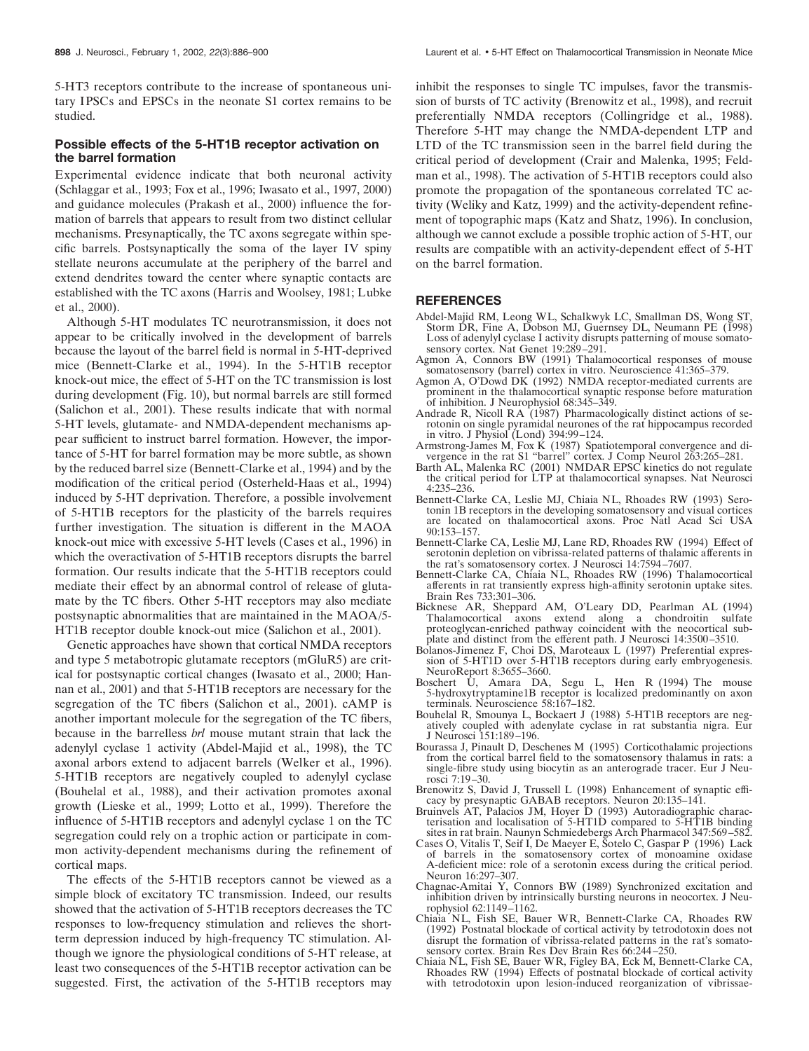5-HT3 receptors contribute to the increase of spontaneous unitary IPSCs and EPSCs in the neonate S1 cortex remains to be studied.

### **Possible effects of the 5-HT1B receptor activation on the barrel formation**

Experimental evidence indicate that both neuronal activity (Schlaggar et al., 1993; Fox et al., 1996; Iwasato et al., 1997, 2000) and guidance molecules (Prakash et al., 2000) influence the formation of barrels that appears to result from two distinct cellular mechanisms. Presynaptically, the TC axons segregate within specific barrels. Postsynaptically the soma of the layer IV spiny stellate neurons accumulate at the periphery of the barrel and extend dendrites toward the center where synaptic contacts are established with the TC axons (Harris and Woolsey, 1981; Lubke et al., 2000).

Although 5-HT modulates TC neurotransmission, it does not appear to be critically involved in the development of barrels because the layout of the barrel field is normal in 5-HT-deprived mice (Bennett-Clarke et al., 1994). In the 5-HT1B receptor knock-out mice, the effect of 5-HT on the TC transmission is lost during development (Fig. 10), but normal barrels are still formed (Salichon et al., 2001). These results indicate that with normal 5-HT levels, glutamate- and NMDA-dependent mechanisms appear sufficient to instruct barrel formation. However, the importance of 5-HT for barrel formation may be more subtle, as shown by the reduced barrel size (Bennett-Clarke et al., 1994) and by the modification of the critical period (Osterheld-Haas et al., 1994) induced by 5-HT deprivation. Therefore, a possible involvement of 5-HT1B receptors for the plasticity of the barrels requires further investigation. The situation is different in the MAOA knock-out mice with excessive 5-HT levels (Cases et al., 1996) in which the overactivation of 5-HT1B receptors disrupts the barrel formation. Our results indicate that the 5-HT1B receptors could mediate their effect by an abnormal control of release of glutamate by the TC fibers. Other 5-HT receptors may also mediate postsynaptic abnormalities that are maintained in the MAOA/5- HT1B receptor double knock-out mice (Salichon et al., 2001).

Genetic approaches have shown that cortical NMDA receptors and type 5 metabotropic glutamate receptors (mGluR5) are critical for postsynaptic cortical changes (Iwasato et al., 2000; Hannan et al., 2001) and that 5-HT1B receptors are necessary for the segregation of the TC fibers (Salichon et al., 2001). cAMP is another important molecule for the segregation of the TC fibers, because in the barrelless *brl* mouse mutant strain that lack the adenylyl cyclase 1 activity (Abdel-Majid et al., 1998), the TC axonal arbors extend to adjacent barrels (Welker et al., 1996). 5-HT1B receptors are negatively coupled to adenylyl cyclase (Bouhelal et al., 1988), and their activation promotes axonal growth (Lieske et al., 1999; Lotto et al., 1999). Therefore the influence of 5-HT1B receptors and adenylyl cyclase 1 on the TC segregation could rely on a trophic action or participate in common activity-dependent mechanisms during the refinement of cortical maps.

The effects of the 5-HT1B receptors cannot be viewed as a simple block of excitatory TC transmission. Indeed, our results showed that the activation of 5-HT1B receptors decreases the TC responses to low-frequency stimulation and relieves the shortterm depression induced by high-frequency TC stimulation. Although we ignore the physiological conditions of 5-HT release, at least two consequences of the 5-HT1B receptor activation can be suggested. First, the activation of the 5-HT1B receptors may inhibit the responses to single TC impulses, favor the transmission of bursts of TC activity (Brenowitz et al., 1998), and recruit preferentially NMDA receptors (Collingridge et al., 1988). Therefore 5-HT may change the NMDA-dependent LTP and LTD of the TC transmission seen in the barrel field during the critical period of development (Crair and Malenka, 1995; Feldman et al., 1998). The activation of 5-HT1B receptors could also promote the propagation of the spontaneous correlated TC activity (Weliky and Katz, 1999) and the activity-dependent refinement of topographic maps (Katz and Shatz, 1996). In conclusion, although we cannot exclude a possible trophic action of 5-HT, our results are compatible with an activity-dependent effect of 5-HT on the barrel formation.

### **REFERENCES**

- Abdel-Majid RM, Leong WL, Schalkwyk LC, Smallman DS, Wong ST, Storm DR, Fine A, Dobson MJ, Guernsey DL, Neumann PE (1998) Loss of adenylyl cyclase I activity disrupts patterning of mouse somatosensory cortex. Nat Genet 19:289-291.
- Agmon A, Connors BW (1991) Thalamocortical responses of mouse somatosensory (barrel) cortex in vitro. Neuroscience 41:365-379.
- Agmon A, O'Dowd DK (1992) NMDA receptor-mediated currents are prominent in the thalamocortical synaptic response before maturation of inhibition. J Neurophysiol 68:345–349.
- Andrade R, Nicoll RA (1987) Pharmacologically distinct actions of serotonin on single pyramidal neurones of the rat hippocampus recorded in vitro. J Physiol (Lond) 394:99–124.
- Armstrong-James M, Fox K (1987) Spatiotemporal convergence and divergence in the rat S1 "barrel" cortex. J Comp Neurol 263:265–281.
- Barth AL, Malenka RC (2001) NMDAR EPSC kinetics do not regulate the critical period for LTP at thalamocortical synapses. Nat Neurosci 4:235–236.
- Bennett-Clarke CA, Leslie MJ, Chiaia NL, Rhoades RW (1993) Serotonin 1B receptors in the developing somatosensory and visual cortices are located on thalamocortical axons. Proc Natl Acad Sci USA 90:153–157.
- Bennett-Clarke CA, Leslie MJ, Lane RD, Rhoades RW (1994) Effect of serotonin depletion on vibrissa-related patterns of thalamic afferents in the rat's somatosensory cortex. J Neurosci 14:7594–7607.
- Bennett-Clarke CA, Chiaia NL, Rhoades RW (1996) Thalamocortical afferents in rat transiently express high-affinity serotonin uptake sites. Brain Res 733:301–306.
- Bicknese AR, Sheppard AM, O'Leary DD, Pearlman AL (1994) Thalamocortical axons extend along a chondroitin sulfate proteoglycan-enriched pathway coincident with the neocortical subplate and distinct from the efferent path. J Neurosci 14:3500–3510.
- Bolanos-Jimenez F, Choi DS, Maroteaux L (1997) Preferential expression of 5-HT1D over 5-HT1B receptors during early embryogenesis. NeuroReport 8:3655–3660.
- Boschert U, Amara DA, Segu L, Hen R (1994) The mouse 5-hydroxytryptamine1B receptor is localized predominantly on axon terminals. Neuroscience 58:167–182.
- Bouhelal R, Smounya L, Bockaert J (1988) 5-HT1B receptors are negatively coupled with adenylate cyclase in rat substantia nigra. Eur J Neurosci 151:189–196.
- Bourassa J, Pinault D, Deschenes M (1995) Corticothalamic projections from the cortical barrel field to the somatosensory thalamus in rats: a single-fibre study using biocytin as an anterograde tracer. Eur J Neurosci 7:19–30.
- Brenowitz S, David J, Trussell L (1998) Enhancement of synaptic efficacy by presynaptic GABAB receptors. Neuron 20:135–141.
- Bruinvels AT, Palacios JM, Hoyer D (1993) Autoradiographic characterisation and localisation of 5-HT1D compared to 5-HT1B binding sites in rat brain. Naunyn Schmiedebergs Arch Pharmacol 347:569–582.
- Cases O, Vitalis T, Seif I, De Maeyer E, Sotelo C, Gaspar P (1996) Lack of barrels in the somatosensory cortex of monoamine oxidase A-deficient mice: role of a serotonin excess during the critical period. Neuron 16:297–307.
- Chagnac-Amitai Y, Connors BW (1989) Synchronized excitation and inhibition driven by intrinsically bursting neurons in neocortex. J Neurophysiol 62:1149–1162.
- Chiaia NL, Fish SE, Bauer WR, Bennett-Clarke CA, Rhoades RW (1992) Postnatal blockade of cortical activity by tetrodotoxin does not disrupt the formation of vibrissa-related patterns in the rat's somatosensory cortex. Brain Res Dev Brain Res 66:244–250.
- Chiaia NL, Fish SE, Bauer WR, Figley BA, Eck M, Bennett-Clarke CA, Rhoades RW (1994) Effects of postnatal blockade of cortical activity with tetrodotoxin upon lesion-induced reorganization of vibrissae-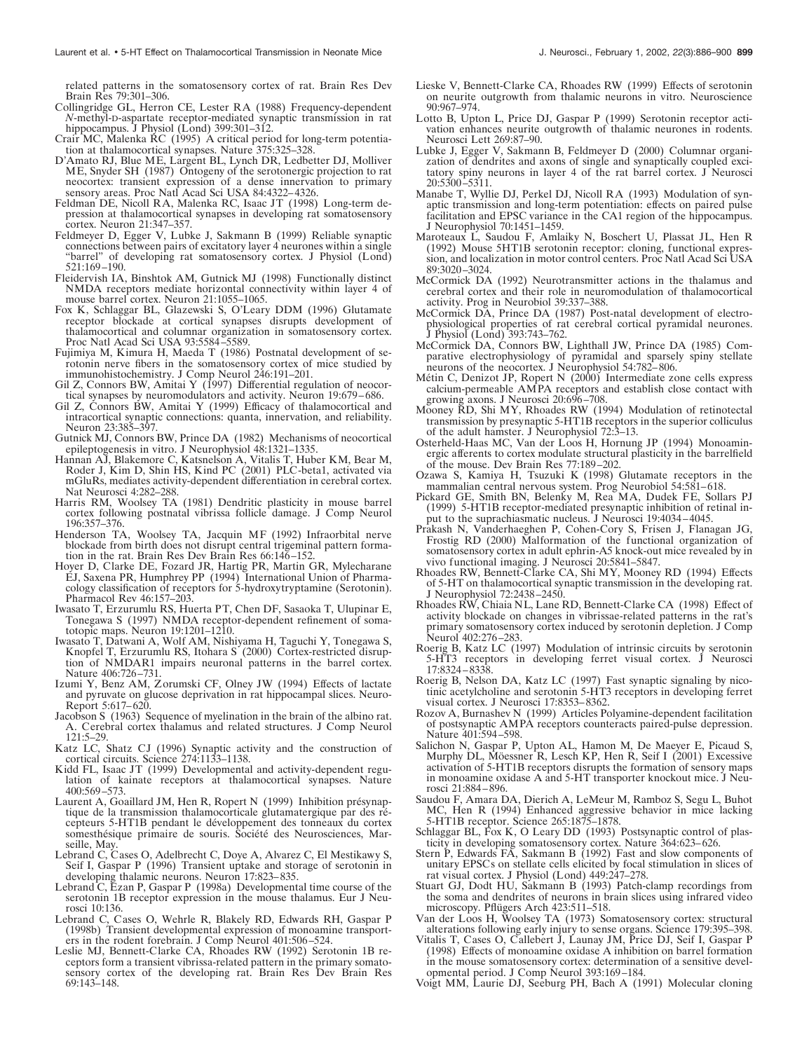related patterns in the somatosensory cortex of rat. Brain Res Dev Brain Res 79:301–306.

- Collingridge GL, Herron CE, Lester RA (1988) Frequency-dependent *N*-methyl-D-aspartate receptor-mediated synaptic transmission in rat hippocampus. J Physiol (Lond) 399:301-312.
- Crair MC, Malenka RC (1995) A critical period for long-term potentiation at thalamocortical synapses. Nature 375:325–328.
- D'Amato RJ, Blue ME, Largent BL, Lynch DR, Ledbetter DJ, Molliver ME, Snyder SH (1987) Ontogeny of the serotonergic projection to rat neocortex: transient expression of a dense innervation to primary sensory areas. Proc Natl Acad Sci USA 84:4322–4326.
- Feldman DE, Nicoll RA, Malenka RC, Isaac JT (1998) Long-term depression at thalamocortical synapses in developing rat somatosensory cortex. Neuron 21:347–357.
- Feldmeyer D, Egger V, Lubke J, Sakmann B (1999) Reliable synaptic connections between pairs of excitatory layer 4 neurones within a single "barrel" of developing rat somatosensory cortex. J Physiol (Lond) 521:169–190.
- Fleidervish IA, Binshtok AM, Gutnick MJ (1998) Functionally distinct NMDA receptors mediate horizontal connectivity within layer 4 of mouse barrel cortex. Neuron 21:1055–1065.
- Fox K, Schlaggar BL, Glazewski S, O'Leary DDM (1996) Glutamate receptor blockade at cortical synapses disrupts development of thalamocortical and columnar organization in somatosensory cortex. Proc Natl Acad Sci USA 93:5584–5589.
- Fujimiya M, Kimura H, Maeda T (1986) Postnatal development of serotonin nerve fibers in the somatosensory cortex of mice studied by immunohistochemistry. J Comp Neurol 246:191–201.
- Gil Z, Connors BW, Amitai Y (1997) Differential regulation of neocortical synapses by neuromodulators and activity. Neuron 19:679–686.
- Gil Z, Connors BW, Amitai Y (1999) Efficacy of thalamocortical and intracortical synaptic connections: quanta, innervation, and reliability. Neuron 23:385–397.
- Gutnick MJ, Connors BW, Prince DA (1982) Mechanisms of neocortical epileptogenesis in vitro. J Neurophysiol 48:1321–1335.
- Hannan AJ, Blakemore C, Katsnelson A, Vitalis T, Huber KM, Bear M, Roder J, Kim D, Shin HS, Kind PC (2001) PLC-beta1, activated via mGluRs, mediates activity-dependent differentiation in cerebral cortex. Nat Neurosci 4:282–288.
- Harris RM, Woolsey TA (1981) Dendritic plasticity in mouse barrel cortex following postnatal vibrissa follicle damage. J Comp Neurol 196:357–376.
- Henderson TA, Woolsey TA, Jacquin MF (1992) Infraorbital nerve blockade from birth does not disrupt central trigeminal pattern formation in the rat. Brain Res Dev Brain Res 66:146–152.
- Hoyer D, Clarke DE, Fozard JR, Hartig PR, Martin GR, Mylecharane EJ, Saxena PR, Humphrey PP (1994) International Union of Pharmacology classification of receptors for 5-hydroxytryptamine (Serotonin). Pharmacol Rev 46:157–203.
- Iwasato T, Erzurumlu RS, Huerta PT, Chen DF, Sasaoka T, Ulupinar E, Tonegawa S (1997) NMDA receptor-dependent refinement of somatotopic maps. Neuron 19:1201–1210.
- Iwasato T, Datwani A, Wolf AM, Nishiyama H, Taguchi Y, Tonegawa S, Knopfel T, Erzurumlu RS, Itohara S (2000) Cortex-restricted disruption of NMDAR1 impairs neuronal patterns in the barrel cortex. Nature 406:726–731.
- Izumi Y, Benz AM, Zorumski CF, Olney JW (1994) Effects of lactate and pyruvate on glucose deprivation in rat hippocampal slices. Neuro-Report 5:617–620.
- Jacobson S (1963) Sequence of myelination in the brain of the albino rat. A. Cerebral cortex thalamus and related structures. J Comp Neurol 121:5–29.
- Katz LC, Shatz CJ (1996) Synaptic activity and the construction of cortical circuits. Science 274:1133–1138.
- Kidd FL, Isaac JT (1999) Developmental and activity-dependent regulation of kainate receptors at thalamocortical synapses. Nature 400:569–573.
- Laurent A, Goaillard JM, Hen R, Ropert N (1999) Inhibition présynaptique de la transmission thalamocorticale glutamatergique par des récepteurs 5-HT1B pendant le développement des tonneaux du cortex somesthésique primaire de souris. Société des Neurosciences, Marseille, May.
- Lebrand C, Cases O, Adelbrecht C, Doye A, Alvarez C, El Mestikawy S, Seif I, Gaspar P (1996) Transient uptake and storage of serotonin in developing thalamic neurons. Neuron 17:823–835.
- Lebrand C, Ezan P, Gaspar P (1998a) Developmental time course of the serotonin 1B receptor expression in the mouse thalamus. Eur J Neurosci 10:136.
- Lebrand C, Cases O, Wehrle R, Blakely RD, Edwards RH, Gaspar P (1998b) Transient developmental expression of monoamine transporters in the rodent forebrain. J Comp Neurol 401:506–524.
- Leslie MJ, Bennett-Clarke CA, Rhoades RW (1992) Serotonin 1B receptors form a transient vibrissa-related pattern in the primary somatosensory cortex of the developing rat. Brain Res Dev Brain Res 69:143–148.
- Lieske V, Bennett-Clarke CA, Rhoades RW (1999) Effects of serotonin on neurite outgrowth from thalamic neurons in vitro. Neuroscience 90:967–974.
- Lotto B, Upton L, Price DJ, Gaspar P (1999) Serotonin receptor activation enhances neurite outgrowth of thalamic neurones in rodents. Neurosci Lett 269:87–90.
- Lubke J, Egger V, Sakmann B, Feldmeyer D (2000) Columnar organization of dendrites and axons of single and synaptically coupled excitatory spiny neurons in layer 4 of the rat barrel cortex. J Neurosci 20:5300–5311.
- Manabe T, Wyllie DJ, Perkel DJ, Nicoll RA (1993) Modulation of synaptic transmission and long-term potentiation: effects on paired pulse facilitation and EPSC variance in the CA1 region of the hippocampus. J Neurophysiol 70:1451–1459.
- Maroteaux L, Saudou F, Amlaiky N, Boschert U, Plassat JL, Hen R (1992) Mouse 5HT1B serotonin receptor: cloning, functional expression, and localization in motor control centers. Proc Natl Acad Sci USA 89:3020–3024.
- McCormick DA (1992) Neurotransmitter actions in the thalamus and cerebral cortex and their role in neuromodulation of thalamocortical activity. Prog in Neurobiol 39:337–388.
- McCormick DA, Prince DA (1987) Post-natal development of electrophysiological properties of rat cerebral cortical pyramidal neurones. J Physiol (Lond) 393:743–762.
- McCormick DA, Connors BW, Lighthall JW, Prince DA (1985) Comparative electrophysiology of pyramidal and sparsely spiny stellate neurons of the neocortex. J Neurophysiol 54:782–806.
- Métin C, Denizot JP, Ropert N (2000) Intermediate zone cells express calcium-permeable AMPA receptors and establish close contact with growing axons. J Neurosci 20:696–708.
- Mooney RD, Shi MY, Rhoades RW (1994) Modulation of retinotectal transmission by presynaptic 5-HT1B receptors in the superior colliculus of the adult hamster. J Neurophysiol 72:3–13.
- Osterheld-Haas MC, Van der Loos H, Hornung JP (1994) Monoaminergic afferents to cortex modulate structural plasticity in the barrelfield of the mouse. Dev Brain Res 77:189–202.
- Ozawa S, Kamiya H, Tsuzuki K (1998) Glutamate receptors in the mammalian central nervous system. Prog Neurobiol 54:581–618.
- Pickard GE, Smith BN, Belenky M, Rea MA, Dudek FE, Sollars PJ (1999) 5-HT1B receptor-mediated presynaptic inhibition of retinal input to the suprachiasmatic nucleus. J Neurosci 19:4034–4045.
- Prakash N, Vanderhaeghen P, Cohen-Cory S, Frisen J, Flanagan JG, Frostig RD (2000) Malformation of the functional organization of somatosensory cortex in adult ephrin-A5 knock-out mice revealed by in vivo functional imaging. J Neurosci 20:5841–5847.
- Rhoades RW, Bennett-Clarke CA, Shi MY, Mooney RD (1994) Effects of 5-HT on thalamocortical synaptic transmission in the developing rat. J Neurophysiol 72:2438–2450.
- Rhoades RW, Chiaia NL, Lane RD, Bennett-Clarke CA (1998) Effect of activity blockade on changes in vibrissae-related patterns in the rat's primary somatosensory cortex induced by serotonin depletion. J Comp Neurol 402:276–283.
- Roerig B, Katz LC (1997) Modulation of intrinsic circuits by serotonin 5-HT3 receptors in developing ferret visual cortex. J Neurosci 17:8324–8338.
- Roerig B, Nelson DA, Katz LC (1997) Fast synaptic signaling by nicotinic acetylcholine and serotonin 5-HT3 receptors in developing ferret visual cortex. J Neurosci 17:8353–8362.
- Rozov A, Burnashev N (1999) Articles Polyamine-dependent facilitation of postsynaptic AMPA receptors counteracts paired-pulse depression. Nature 401:594–598.
- Salichon N, Gaspar P, Upton AL, Hamon M, De Maeyer E, Picaud S, Murphy DL, Möessner R, Lesch KP, Hen R, Seif I (2001) Excessive activation of 5-HT1B receptors disrupts the formation of sensory maps in monoamine oxidase A and 5-HT transporter knockout mice. J Neurosci 21:884–896.
- Saudou F, Amara DA, Dierich A, LeMeur M, Ramboz S, Segu L, Buhot MC, Hen R (1994) Enhanced aggressive behavior in mice lacking 5-HT1B receptor. Science 265:1875–1878.
- Schlaggar BL, Fox K, O Leary DD (1993) Postsynaptic control of plasticity in developing somatosensory cortex. Nature 364:623–626.
- Stern P, Edwards FA, Sakmann B (1992) Fast and slow components of unitary EPSCs on stellate cells elicited by focal stimulation in slices of rat visual cortex. J Physiol (Lond) 449:247–278.
- Stuart GJ, Dodt HU, Sakmann B (1993) Patch-clamp recordings from the soma and dendrites of neurons in brain slices using infrared video microscopy. Pflügers Arch 423:511-518.
- Van der Loos H, Woolsey TA (1973) Somatosensory cortex: structural alterations following early injury to sense organs. Science 179:395–398.
- Vitalis T, Cases O, Callebert J, Launay JM, Price DJ, Seif I, Gaspar P (1998) Effects of monoamine oxidase A inhibition on barrel formation in the mouse somatosensory cortex: determination of a sensitive developmental period. J Comp Neurol 393:169–184.
- Voigt MM, Laurie DJ, Seeburg PH, Bach A (1991) Molecular cloning